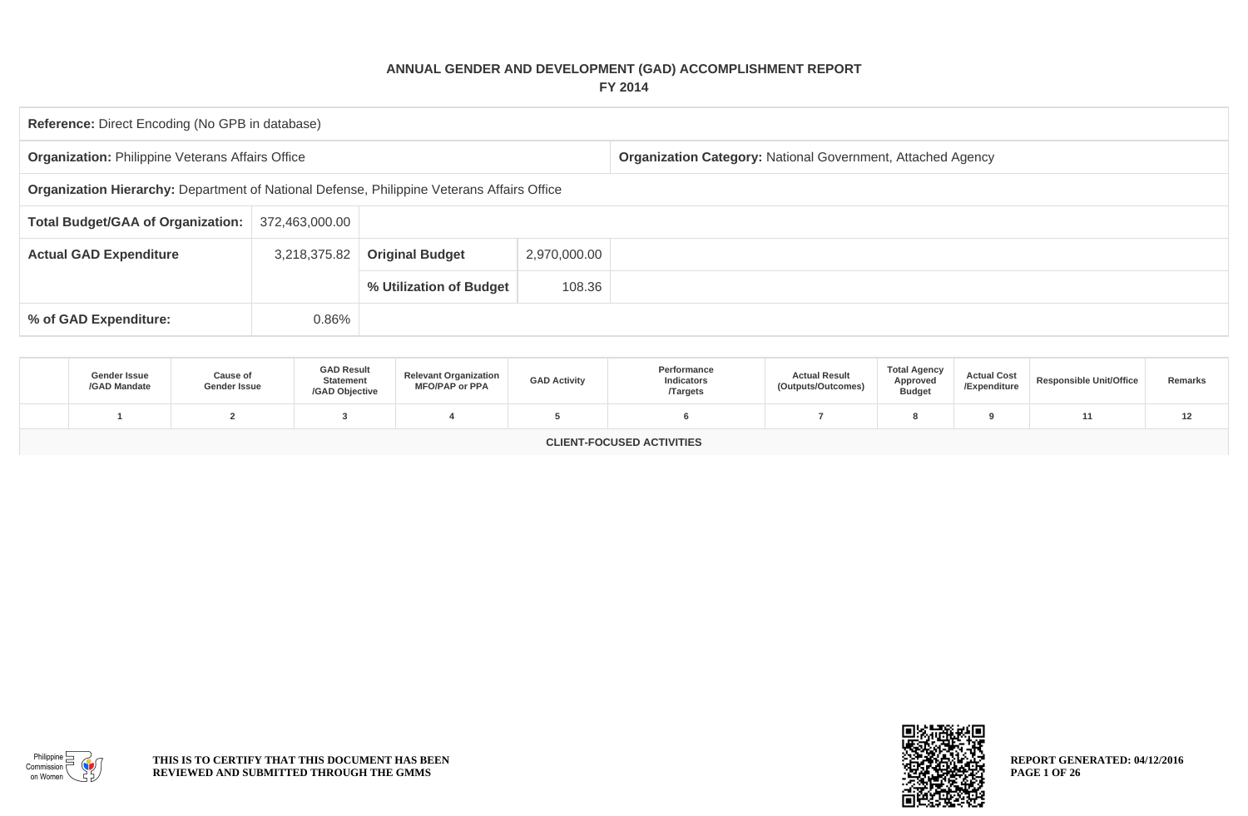## **ANNUAL GENDER AND DEVELOPMENT (GAD) ACCOMPLISHMENT REPORT FY 2014**

| Reference: Direct Encoding (No GPB in database)            |                                                                                            |                         |              |                                                                    |  |  |  |  |  |  |
|------------------------------------------------------------|--------------------------------------------------------------------------------------------|-------------------------|--------------|--------------------------------------------------------------------|--|--|--|--|--|--|
| <b>Organization: Philippine Veterans Affairs Office</b>    |                                                                                            |                         |              | <b>Organization Category: National Government, Attached Agency</b> |  |  |  |  |  |  |
|                                                            | Organization Hierarchy: Department of National Defense, Philippine Veterans Affairs Office |                         |              |                                                                    |  |  |  |  |  |  |
| <b>Total Budget/GAA of Organization:</b><br>372,463,000.00 |                                                                                            |                         |              |                                                                    |  |  |  |  |  |  |
| <b>Actual GAD Expenditure</b>                              | 3,218,375.82                                                                               | <b>Original Budget</b>  | 2,970,000.00 |                                                                    |  |  |  |  |  |  |
|                                                            |                                                                                            | % Utilization of Budget |              |                                                                    |  |  |  |  |  |  |
| 0.86%<br>% of GAD Expenditure:                             |                                                                                            |                         |              |                                                                    |  |  |  |  |  |  |

| <b>Gender Issue</b><br>/GAD Mandate | <b>Cause of</b><br>Gender Issue | <b>GAD Result</b><br><b>Statement</b><br>/GAD Objective | <b>Relevant Organization</b><br><b>MFO/PAP or PPA</b> | <b>GAD Activity</b> | Performance<br>Indicators<br><b>Targets</b> | <b>Actual Result</b><br>(Outputs/Outcomes) | <b>Total Agency</b><br>Approved<br><b>Budget</b> | <b>Actual Cost</b><br>/Expenditure | Responsible Unit/Office | Remarks |
|-------------------------------------|---------------------------------|---------------------------------------------------------|-------------------------------------------------------|---------------------|---------------------------------------------|--------------------------------------------|--------------------------------------------------|------------------------------------|-------------------------|---------|
|                                     |                                 |                                                         |                                                       |                     |                                             |                                            |                                                  |                                    |                         | 12      |
| CLIENT-FOCUSED ACTIVITIES           |                                 |                                                         |                                                       |                     |                                             |                                            |                                                  |                                    |                         |         |





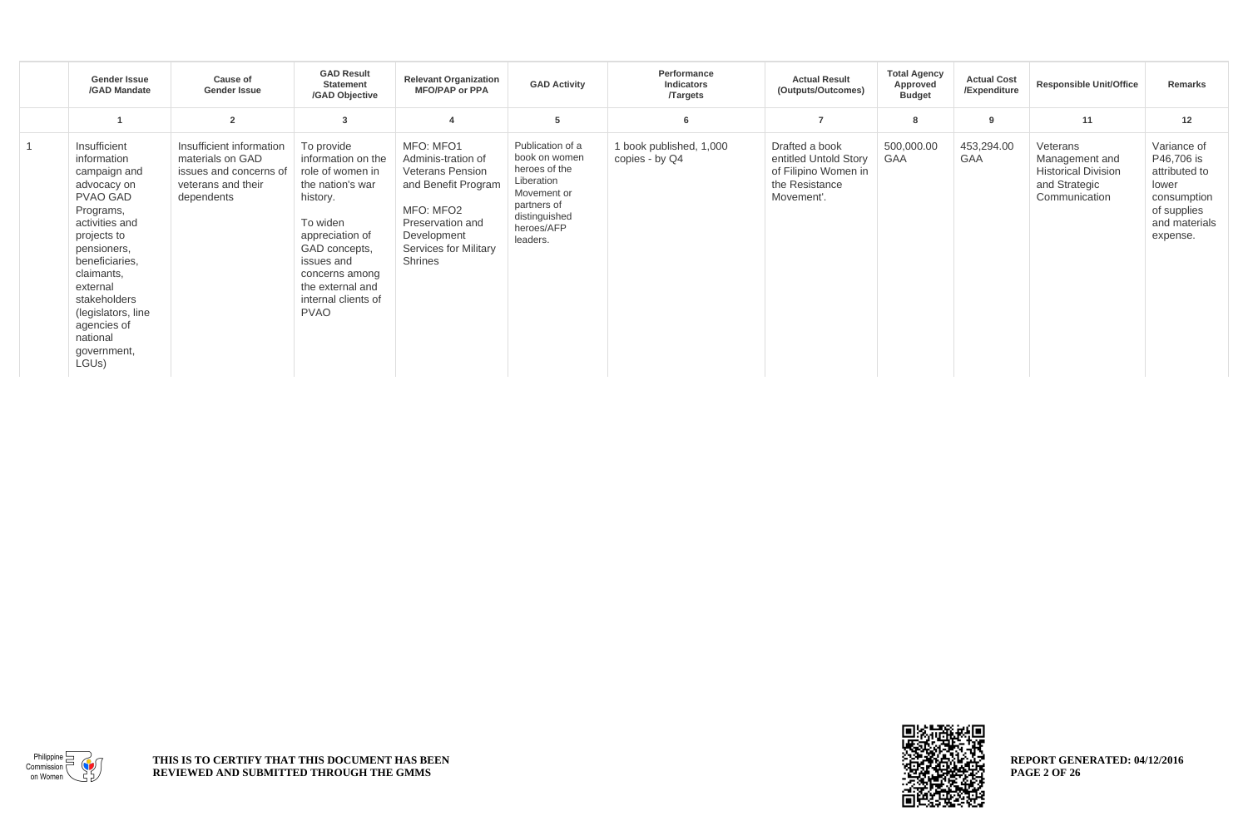| <b>Gender Issue</b><br>/GAD Mandate                                                                                                                                                                                                                                             | <b>Cause of</b><br><b>Gender Issue</b>                                                                     | <b>GAD Result</b><br><b>Statement</b><br>/GAD Objective                                                                                                                                                                        | <b>Relevant Organization</b><br><b>MFO/PAP or PPA</b>                                                                                                                 | <b>GAD Activity</b>                                                                                                                       | Performance<br>Indicators<br><b>Targets</b> | <b>Actual Result</b><br>(Outputs/Outcomes)                                                      | <b>Total Agency</b><br>Approved<br><b>Budget</b> | <b>Actual Cost</b><br>/Expenditure | <b>Responsible Unit/Office</b>                                                             | Remarks                                                                                                        |
|---------------------------------------------------------------------------------------------------------------------------------------------------------------------------------------------------------------------------------------------------------------------------------|------------------------------------------------------------------------------------------------------------|--------------------------------------------------------------------------------------------------------------------------------------------------------------------------------------------------------------------------------|-----------------------------------------------------------------------------------------------------------------------------------------------------------------------|-------------------------------------------------------------------------------------------------------------------------------------------|---------------------------------------------|-------------------------------------------------------------------------------------------------|--------------------------------------------------|------------------------------------|--------------------------------------------------------------------------------------------|----------------------------------------------------------------------------------------------------------------|
|                                                                                                                                                                                                                                                                                 | $\overline{2}$                                                                                             |                                                                                                                                                                                                                                |                                                                                                                                                                       | 5                                                                                                                                         | 6                                           |                                                                                                 | 8                                                | 9                                  | 11                                                                                         | 12                                                                                                             |
| Insufficient<br>information<br>campaign and<br>advocacy on<br><b>PVAO GAD</b><br>Programs,<br>activities and<br>projects to<br>pensioners,<br>beneficiaries,<br>claimants,<br>external<br>stakeholders<br>(legislators, line<br>agencies of<br>national<br>government,<br>LGUs) | Insufficient information<br>materials on GAD<br>issues and concerns of<br>veterans and their<br>dependents | To provide<br>information on the<br>role of women in<br>the nation's war<br>history.<br>To widen<br>appreciation of<br>GAD concepts,<br>issues and<br>concerns among<br>the external and<br>internal clients of<br><b>PVAO</b> | MFO: MFO1<br>Adminis-tration of<br><b>Veterans Pension</b><br>and Benefit Program<br>MFO: MFO2<br>Preservation and<br>Development<br>Services for Military<br>Shrines | Publication of a<br>book on women<br>heroes of the<br>Liberation<br>Movement or<br>partners of<br>distinguished<br>heroes/AFP<br>leaders. | 1 book published, 1,000<br>copies - by Q4   | Drafted a book<br>entitled Untold Story<br>of Filipino Women in<br>the Resistance<br>Movement'. | 500,000.00<br><b>GAA</b>                         | 453,294.00<br>GAA                  | Veterans<br>Management and<br><b>Historical Division</b><br>and Strategic<br>Communication | Variance of<br>P46,706 is<br>attributed to<br>lower<br>consumption<br>of supplies<br>and materials<br>expense. |



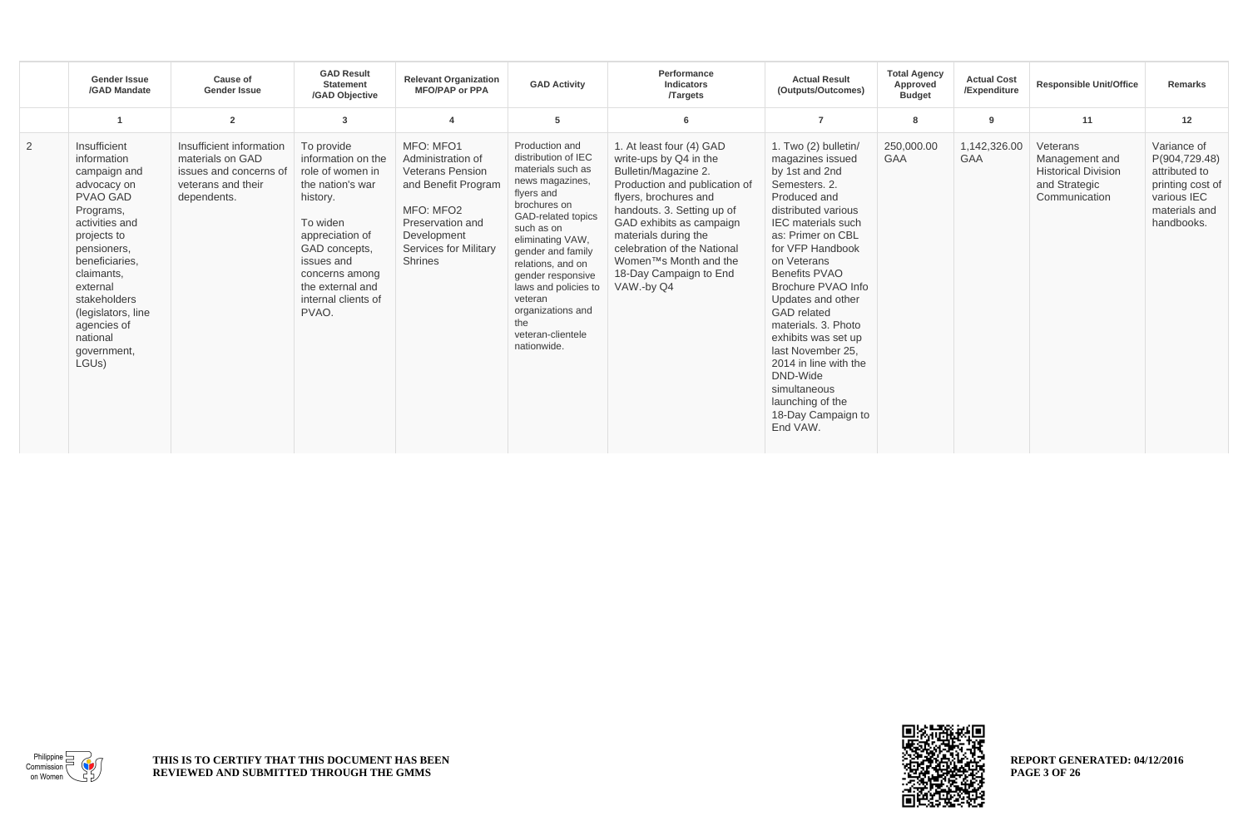|   | <b>Gender Issue</b><br>/GAD Mandate                                                                                                                                                                                                                                                          | Cause of<br><b>Gender Issue</b>                                                                             | <b>GAD Result</b><br><b>Statement</b><br>/GAD Objective                                                                                                                                                                  | <b>Relevant Organization</b><br><b>MFO/PAP or PPA</b>                                                                                                                | <b>GAD Activity</b>                                                                                                                                                                                                                                                                                                                   | Performance<br>Indicators<br><b>Targets</b>                                                                                                                                                                                                                                                                                         | <b>Actual Result</b><br>(Outputs/Outcomes)                                                                                                                                                                                                                                                                                                                                                                                                                              | <b>Total Agency</b><br>Approved<br><b>Budget</b> | <b>Actual Cost</b><br>/Expenditure | <b>Responsible Unit/Office</b>                                                             | <b>Remarks</b>                                                                                                  |
|---|----------------------------------------------------------------------------------------------------------------------------------------------------------------------------------------------------------------------------------------------------------------------------------------------|-------------------------------------------------------------------------------------------------------------|--------------------------------------------------------------------------------------------------------------------------------------------------------------------------------------------------------------------------|----------------------------------------------------------------------------------------------------------------------------------------------------------------------|---------------------------------------------------------------------------------------------------------------------------------------------------------------------------------------------------------------------------------------------------------------------------------------------------------------------------------------|-------------------------------------------------------------------------------------------------------------------------------------------------------------------------------------------------------------------------------------------------------------------------------------------------------------------------------------|-------------------------------------------------------------------------------------------------------------------------------------------------------------------------------------------------------------------------------------------------------------------------------------------------------------------------------------------------------------------------------------------------------------------------------------------------------------------------|--------------------------------------------------|------------------------------------|--------------------------------------------------------------------------------------------|-----------------------------------------------------------------------------------------------------------------|
|   |                                                                                                                                                                                                                                                                                              | $\overline{2}$                                                                                              | 3                                                                                                                                                                                                                        |                                                                                                                                                                      | 5                                                                                                                                                                                                                                                                                                                                     | 6                                                                                                                                                                                                                                                                                                                                   | $\overline{7}$                                                                                                                                                                                                                                                                                                                                                                                                                                                          | 8                                                | 9                                  | 11                                                                                         | 12                                                                                                              |
| 2 | Insufficient<br>information<br>campaign and<br>advocacy on<br><b>PVAO GAD</b><br>Programs,<br>activities and<br>projects to<br>pensioners,<br>beneficiaries,<br>claimants,<br>external<br>stakeholders<br>(legislators, line<br>agencies of<br>national<br>government,<br>LGU <sub>s</sub> ) | Insufficient information<br>materials on GAD<br>issues and concerns of<br>veterans and their<br>dependents. | To provide<br>information on the<br>role of women in<br>the nation's war<br>history.<br>To widen<br>appreciation of<br>GAD concepts,<br>issues and<br>concerns among<br>the external and<br>internal clients of<br>PVAO. | MFO: MFO1<br>Administration of<br><b>Veterans Pension</b><br>and Benefit Program<br>MFO: MFO2<br>Preservation and<br>Development<br>Services for Military<br>Shrines | Production and<br>distribution of IEC<br>materials such as<br>news magazines,<br>flyers and<br>brochures on<br>GAD-related topics<br>such as on<br>eliminating VAW,<br>gender and family<br>relations, and on<br>gender responsive<br>laws and policies to<br>veteran<br>organizations and<br>the<br>veteran-clientele<br>nationwide. | 1. At least four (4) GAD<br>write-ups by Q4 in the<br>Bulletin/Magazine 2.<br>Production and publication of<br>flyers, brochures and<br>handouts. 3. Setting up of<br>GAD exhibits as campaign<br>materials during the<br>celebration of the National<br>Women <sup>™</sup> s Month and the<br>18-Day Campaign to End<br>VAW.-by Q4 | 1. Two (2) bulletin/<br>magazines issued<br>by 1st and 2nd<br>Semesters, 2.<br>Produced and<br>distributed various<br><b>IEC</b> materials such<br>as: Primer on CBL<br>for VFP Handbook<br>on Veterans<br>Benefits PVAO<br>Brochure PVAO Info<br>Updates and other<br><b>GAD</b> related<br>materials, 3. Photo<br>exhibits was set up<br>last November 25.<br>2014 in line with the<br>DND-Wide<br>simultaneous<br>launching of the<br>18-Day Campaign to<br>End VAW. | 250,000.00<br><b>GAA</b>                         | 1,142,326.00<br>GAA                | Veterans<br>Management and<br><b>Historical Division</b><br>and Strategic<br>Communication | Variance of<br>P(904,729.48)<br>attributed to<br>printing cost of<br>various IEC<br>materials and<br>handbooks. |



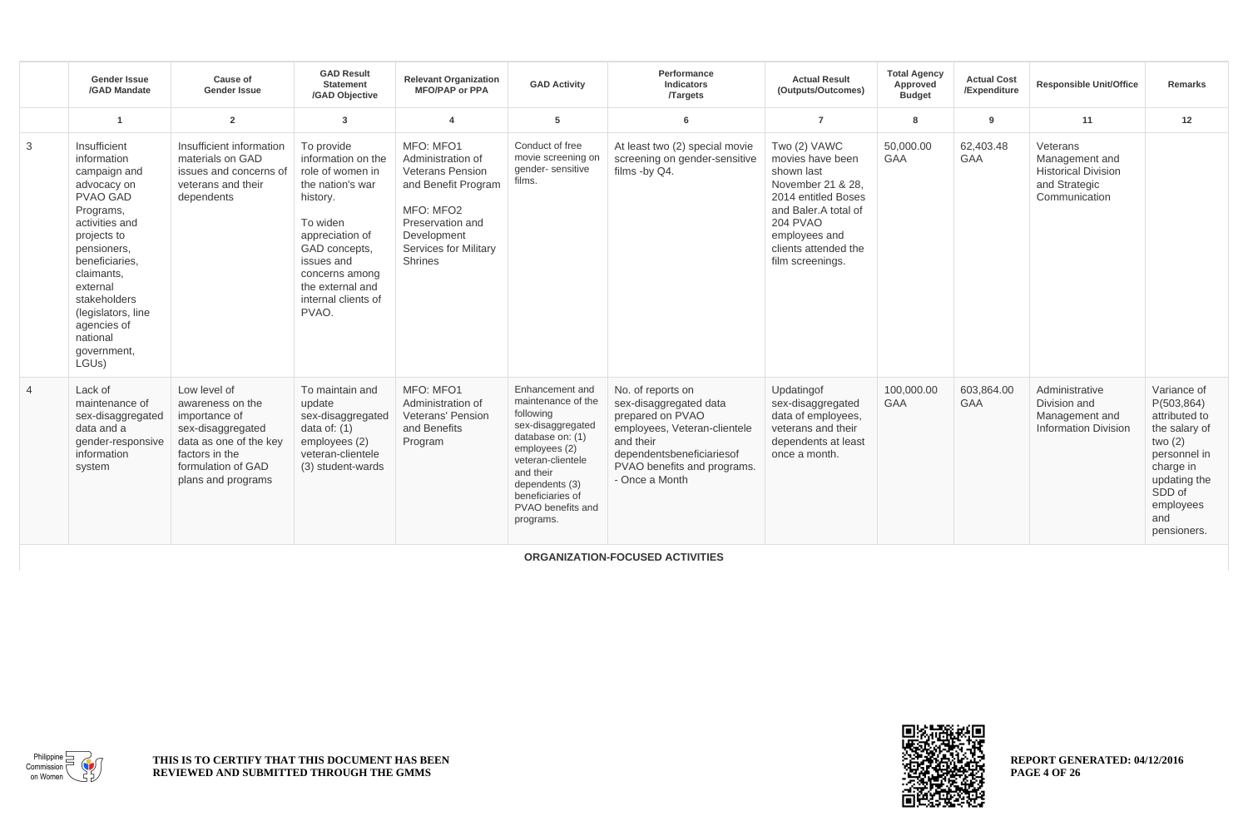|                | <b>Gender Issue</b><br>/GAD Mandate                                                                                                                                                                                                                                                   | Cause of<br><b>Gender Issue</b>                                                                                                                                | <b>GAD Result</b><br><b>Statement</b><br>/GAD Objective                                                                                                                                                                  | <b>Relevant Organization</b><br><b>MFO/PAP or PPA</b>                                                                                                                              | <b>GAD Activity</b>                                                                                                                                                                                                    | Performance<br><b>Indicators</b><br><b>Targets</b>                                                                                                                                         | <b>Actual Result</b><br>(Outputs/Outcomes)                                                                                                                                                         | <b>Total Agency</b><br>Approved<br><b>Budget</b> | <b>Actual Cost</b><br>/Expenditure | <b>Responsible Unit/Office</b>                                                             | <b>Remarks</b>                                                                                                                                                      |
|----------------|---------------------------------------------------------------------------------------------------------------------------------------------------------------------------------------------------------------------------------------------------------------------------------------|----------------------------------------------------------------------------------------------------------------------------------------------------------------|--------------------------------------------------------------------------------------------------------------------------------------------------------------------------------------------------------------------------|------------------------------------------------------------------------------------------------------------------------------------------------------------------------------------|------------------------------------------------------------------------------------------------------------------------------------------------------------------------------------------------------------------------|--------------------------------------------------------------------------------------------------------------------------------------------------------------------------------------------|----------------------------------------------------------------------------------------------------------------------------------------------------------------------------------------------------|--------------------------------------------------|------------------------------------|--------------------------------------------------------------------------------------------|---------------------------------------------------------------------------------------------------------------------------------------------------------------------|
|                | -1                                                                                                                                                                                                                                                                                    | $\overline{2}$                                                                                                                                                 | $\mathbf{3}$                                                                                                                                                                                                             | $\overline{\mathbf{A}}$                                                                                                                                                            | 5                                                                                                                                                                                                                      | 6                                                                                                                                                                                          | $\overline{7}$                                                                                                                                                                                     | 8                                                | 9                                  | 11                                                                                         | 12                                                                                                                                                                  |
| 3              | Insufficient<br>information<br>campaign and<br>advocacy on<br>PVAO GAD<br>Programs,<br>activities and<br>projects to<br>pensioners,<br>beneficiaries.<br>claimants,<br>external<br>stakeholders<br>(legislators, line<br>agencies of<br>national<br>government,<br>LGU <sub>s</sub> ) | Insufficient information<br>materials on GAD<br>issues and concerns of<br>veterans and their<br>dependents                                                     | To provide<br>information on the<br>role of women in<br>the nation's war<br>history.<br>To widen<br>appreciation of<br>GAD concepts.<br>issues and<br>concerns among<br>the external and<br>internal clients of<br>PVAO. | MFO: MFO1<br>Administration of<br><b>Veterans Pension</b><br>and Benefit Program<br>MFO: MFO2<br>Preservation and<br>Development<br><b>Services for Militarv</b><br><b>Shrines</b> | Conduct of free<br>movie screening on<br>gender-sensitive<br>films.                                                                                                                                                    | At least two (2) special movie<br>screening on gender-sensitive<br>films -by Q4.                                                                                                           | Two (2) VAWC<br>movies have been<br>shown last<br>November 21 & 28.<br>2014 entitled Boses<br>and Baler.A total of<br><b>204 PVAO</b><br>employees and<br>clients attended the<br>film screenings. | 50.000.00<br><b>GAA</b>                          | 62.403.48<br><b>GAA</b>            | Veterans<br>Management and<br><b>Historical Division</b><br>and Strategic<br>Communication |                                                                                                                                                                     |
| $\overline{4}$ | Lack of<br>maintenance of<br>sex-disaggregated<br>data and a<br>gender-responsive<br>information<br>system                                                                                                                                                                            | Low level of<br>awareness on the<br>importance of<br>sex-disaggregated<br>data as one of the key<br>factors in the<br>formulation of GAD<br>plans and programs | To maintain and<br>update<br>sex-disaggregated<br>data of: $(1)$<br>employees (2)<br>veteran-clientele<br>(3) student-wards                                                                                              | MFO: MFO1<br>Administration of<br><b>Veterans' Pension</b><br>and Benefits<br>Program                                                                                              | Enhancement and<br>maintenance of the<br>following<br>sex-disaggregated<br>database on: (1)<br>employees (2)<br>veteran-clientele<br>and their<br>dependents (3)<br>beneficiaries of<br>PVAO benefits and<br>programs. | No. of reports on<br>sex-disaggregated data<br>prepared on PVAO<br>employees, Veteran-clientele<br>and their<br>dependentsbeneficiariesof<br>PVAO benefits and programs.<br>- Once a Month | Updatingof<br>sex-disaggregated<br>data of employees.<br>veterans and their<br>dependents at least<br>once a month.                                                                                | 100.000.00<br><b>GAA</b>                         | 603.864.00<br><b>GAA</b>           | Administrative<br>Division and<br>Management and<br><b>Information Division</b>            | Variance of<br>P(503, 864)<br>attributed to<br>the salary of<br>two $(2)$<br>personnel in<br>charge in<br>updating the<br>SDD of<br>employees<br>and<br>pensioners. |

**ORGANIZATION-FOCUSED ACTIVITIES**



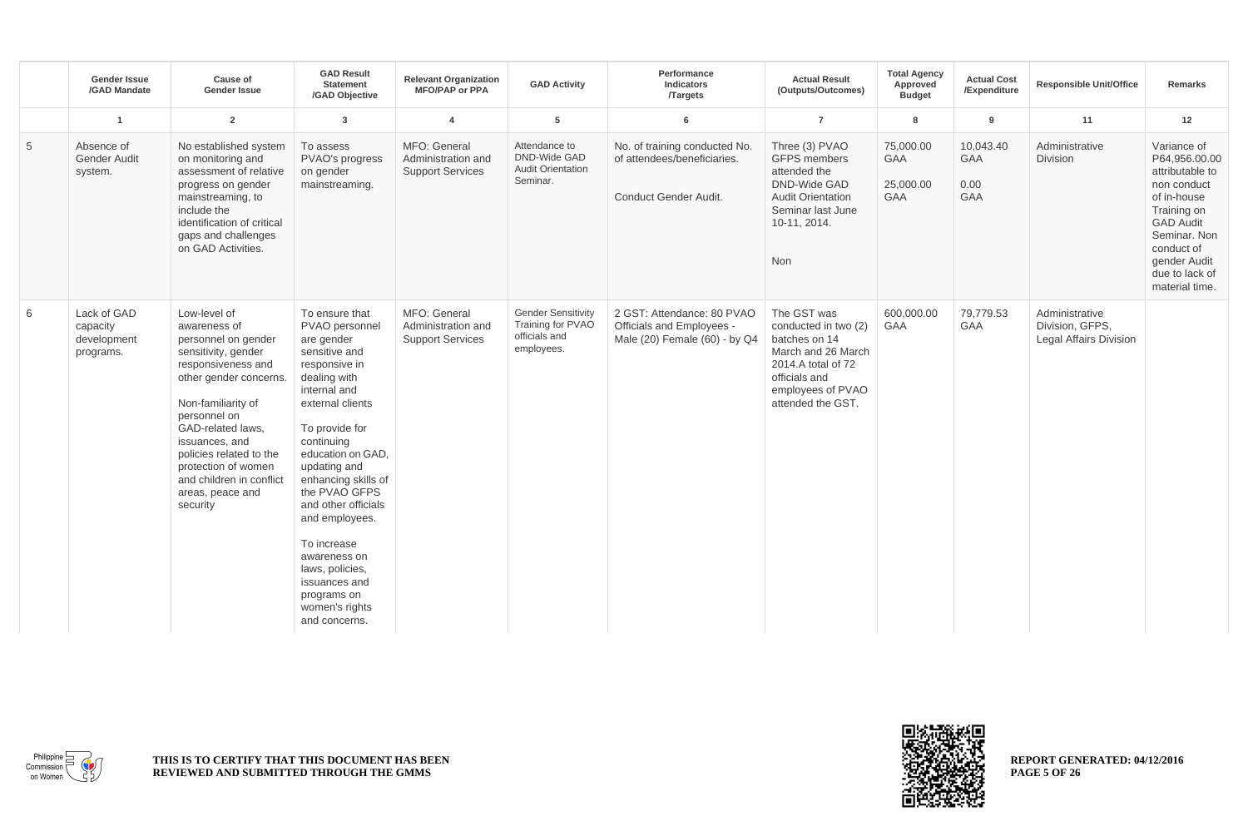|   | <b>Gender Issue</b><br>/GAD Mandate                 | Cause of<br><b>Gender Issue</b>                                                                                                                                                                                                                                                                                       | <b>GAD Result</b><br><b>Statement</b><br>/GAD Objective                                                                                                                                                                                                                                                                                                                                                         | <b>Relevant Organization</b><br><b>MFO/PAP or PPA</b>         | <b>GAD Activity</b>                                                           | Performance<br>Indicators<br><b>Targets</b>                                              | <b>Actual Result</b><br>(Outputs/Outcomes)                                                                                                                  | <b>Total Agency</b><br>Approved<br><b>Budget</b>   | <b>Actual Cost</b><br>/Expenditure            | <b>Responsible Unit/Office</b>                                     | Remarks                                                                                                                                                                                            |
|---|-----------------------------------------------------|-----------------------------------------------------------------------------------------------------------------------------------------------------------------------------------------------------------------------------------------------------------------------------------------------------------------------|-----------------------------------------------------------------------------------------------------------------------------------------------------------------------------------------------------------------------------------------------------------------------------------------------------------------------------------------------------------------------------------------------------------------|---------------------------------------------------------------|-------------------------------------------------------------------------------|------------------------------------------------------------------------------------------|-------------------------------------------------------------------------------------------------------------------------------------------------------------|----------------------------------------------------|-----------------------------------------------|--------------------------------------------------------------------|----------------------------------------------------------------------------------------------------------------------------------------------------------------------------------------------------|
|   | $\overline{1}$                                      | $\overline{2}$                                                                                                                                                                                                                                                                                                        | $\overline{3}$                                                                                                                                                                                                                                                                                                                                                                                                  | $\overline{4}$                                                | $5\phantom{.0}$                                                               | 6                                                                                        | $\overline{7}$                                                                                                                                              | 8                                                  | 9                                             | 11                                                                 | 12                                                                                                                                                                                                 |
| 5 | Absence of<br><b>Gender Audit</b><br>system.        | No established system<br>on monitoring and<br>assessment of relative<br>progress on gender<br>mainstreaming, to<br>include the<br>identification of critical<br>gaps and challenges<br>on GAD Activities.                                                                                                             | To assess<br>PVAO's progress<br>on gender<br>mainstreaming.                                                                                                                                                                                                                                                                                                                                                     | MFO: General<br>Administration and<br><b>Support Services</b> | Attendance to<br><b>DND-Wide GAD</b><br><b>Audit Orientation</b><br>Seminar.  | No. of training conducted No.<br>of attendees/beneficiaries.<br>Conduct Gender Audit.    | Three (3) PVAO<br><b>GFPS</b> members<br>attended the<br><b>DND-Wide GAD</b><br><b>Audit Orientation</b><br>Seminar last June<br>10-11, 2014.<br><b>Non</b> | 75,000.00<br><b>GAA</b><br>25,000.00<br><b>GAA</b> | 10,043.40<br><b>GAA</b><br>0.00<br><b>GAA</b> | Administrative<br><b>Division</b>                                  | Variance of<br>P64.956.00.00<br>attributable to<br>non conduct<br>of in-house<br>Training on<br><b>GAD Audit</b><br>Seminar, Non<br>conduct of<br>gender Audit<br>due to lack of<br>material time. |
| 6 | Lack of GAD<br>capacity<br>development<br>programs. | Low-level of<br>awareness of<br>personnel on gender<br>sensitivity, gender<br>responsiveness and<br>other gender concerns.<br>Non-familiarity of<br>personnel on<br>GAD-related laws,<br>issuances, and<br>policies related to the<br>protection of women<br>and children in conflict<br>areas, peace and<br>security | To ensure that<br>PVAO personnel<br>are gender<br>sensitive and<br>responsive in<br>dealing with<br>internal and<br>external clients<br>To provide for<br>continuing<br>education on GAD.<br>updating and<br>enhancing skills of<br>the PVAO GFPS<br>and other officials<br>and employees.<br>To increase<br>awareness on<br>laws, policies,<br>issuances and<br>programs on<br>women's rights<br>and concerns. | MFO: General<br>Administration and<br><b>Support Services</b> | <b>Gender Sensitivity</b><br>Training for PVAO<br>officials and<br>employees. | 2 GST: Attendance: 80 PVAO<br>Officials and Employees -<br>Male (20) Female (60) - by Q4 | The GST was<br>conducted in two (2)<br>batches on 14<br>March and 26 March<br>2014.A total of 72<br>officials and<br>employees of PVAO<br>attended the GST. | 600,000.00<br>GAA                                  | 79,779.53<br>GAA                              | Administrative<br>Division, GFPS,<br><b>Legal Affairs Division</b> |                                                                                                                                                                                                    |



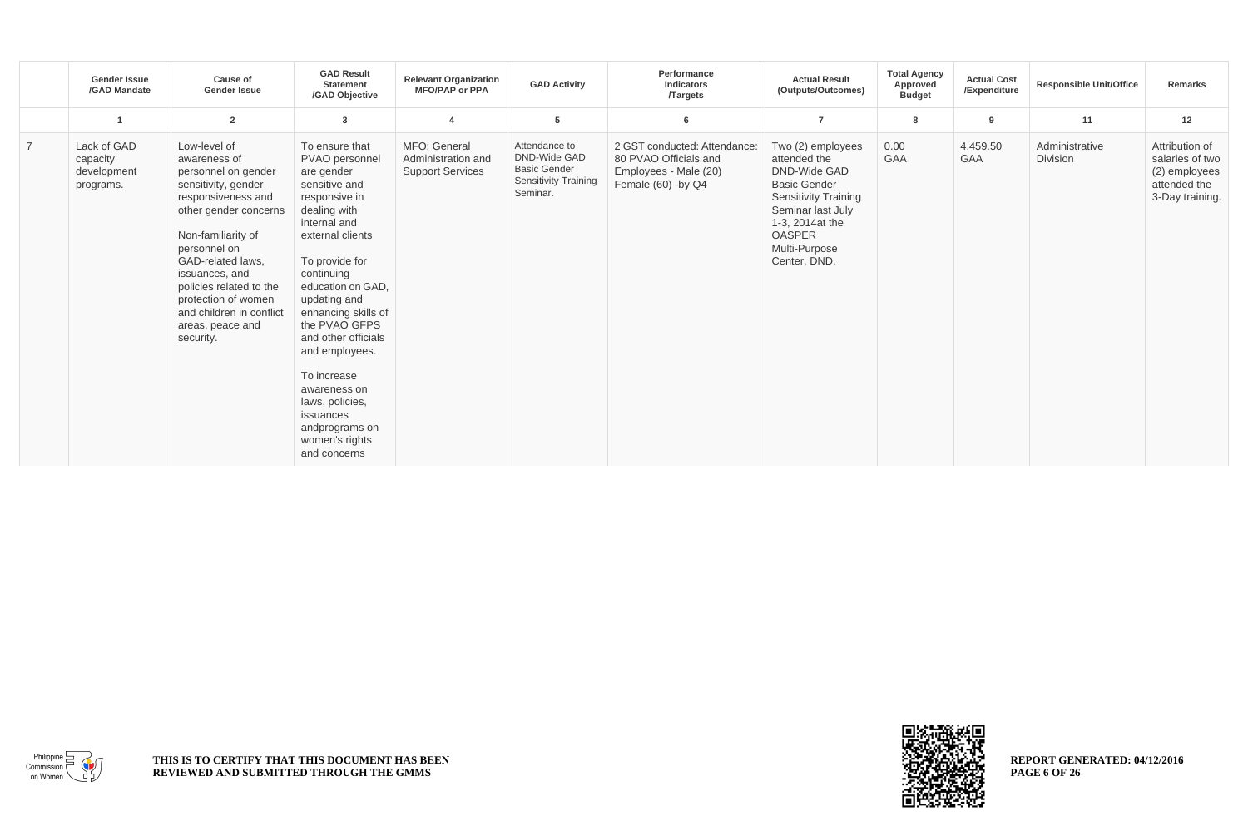|                | <b>Gender Issue</b><br>/GAD Mandate                 | <b>Cause of</b><br><b>Gender Issue</b>                                                                                                                                                                                                                                                                                | <b>GAD Result</b><br><b>Statement</b><br>/GAD Objective                                                                                                                                                                                                                                                                                                                                                       | <b>Relevant Organization</b><br><b>MFO/PAP or PPA</b>         | <b>GAD Activity</b>                                                                             | Performance<br>Indicators<br><b>Targets</b>                                                          | <b>Actual Result</b><br>(Outputs/Outcomes)                                                                                                                                                               | <b>Total Agency</b><br>Approved<br><b>Budget</b> | <b>Actual Cost</b><br>/Expenditure | <b>Responsible Unit/Office</b>    | Remarks                                                                               |
|----------------|-----------------------------------------------------|-----------------------------------------------------------------------------------------------------------------------------------------------------------------------------------------------------------------------------------------------------------------------------------------------------------------------|---------------------------------------------------------------------------------------------------------------------------------------------------------------------------------------------------------------------------------------------------------------------------------------------------------------------------------------------------------------------------------------------------------------|---------------------------------------------------------------|-------------------------------------------------------------------------------------------------|------------------------------------------------------------------------------------------------------|----------------------------------------------------------------------------------------------------------------------------------------------------------------------------------------------------------|--------------------------------------------------|------------------------------------|-----------------------------------|---------------------------------------------------------------------------------------|
|                |                                                     | $\overline{2}$                                                                                                                                                                                                                                                                                                        | 3                                                                                                                                                                                                                                                                                                                                                                                                             | $\overline{\mathbf{4}}$                                       | 5                                                                                               | 6                                                                                                    | $\overline{7}$                                                                                                                                                                                           | 8                                                | 9                                  | 11                                | 12                                                                                    |
| $\overline{7}$ | Lack of GAD<br>capacity<br>development<br>programs. | Low-level of<br>awareness of<br>personnel on gender<br>sensitivity, gender<br>responsiveness and<br>other gender concerns<br>Non-familiarity of<br>personnel on<br>GAD-related laws,<br>issuances, and<br>policies related to the<br>protection of women<br>and children in conflict<br>areas, peace and<br>security. | To ensure that<br>PVAO personnel<br>are gender<br>sensitive and<br>responsive in<br>dealing with<br>internal and<br>external clients<br>To provide for<br>continuing<br>education on GAD,<br>updating and<br>enhancing skills of<br>the PVAO GFPS<br>and other officials<br>and employees.<br>To increase<br>awareness on<br>laws, policies,<br>issuances<br>andprograms on<br>women's rights<br>and concerns | MFO: General<br>Administration and<br><b>Support Services</b> | Attendance to<br>DND-Wide GAD<br><b>Basic Gender</b><br><b>Sensitivity Training</b><br>Seminar. | 2 GST conducted: Attendance:<br>80 PVAO Officials and<br>Employees - Male (20)<br>Female (60) -by Q4 | Two (2) employees<br>attended the<br><b>DND-Wide GAD</b><br><b>Basic Gender</b><br><b>Sensitivity Training</b><br>Seminar last July<br>1-3, 2014at the<br><b>OASPER</b><br>Multi-Purpose<br>Center, DND. | 0.00<br><b>GAA</b>                               | 4,459.50<br><b>GAA</b>             | Administrative<br><b>Division</b> | Attribution of<br>salaries of two<br>(2) employees<br>attended the<br>3-Day training. |



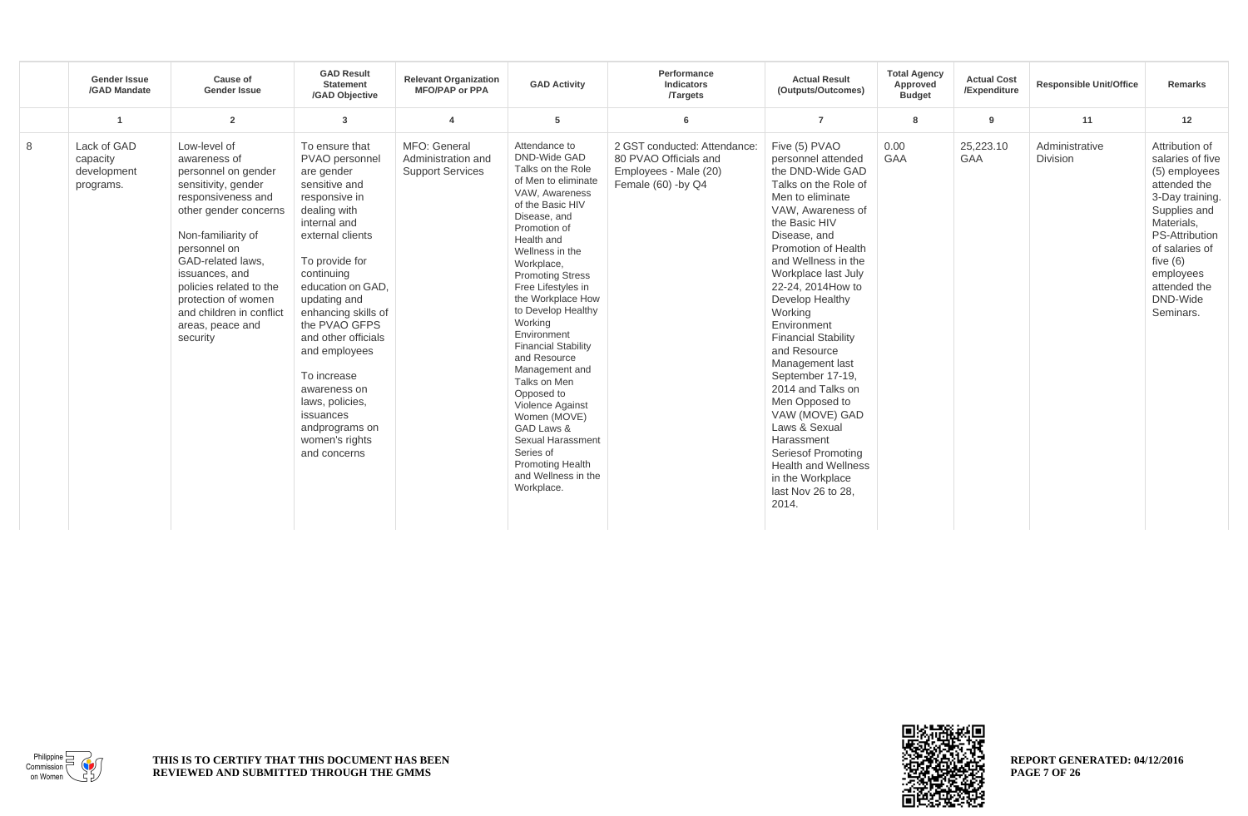|   | <b>Gender Issue</b><br>/GAD Mandate                 | Cause of<br><b>Gender Issue</b>                                                                                                                                                                                                                                                                                      | <b>GAD Result</b><br><b>Statement</b><br>/GAD Objective                                                                                                                                                                                                                                                                                                                                                      | <b>Relevant Organization</b><br><b>MFO/PAP or PPA</b>         | <b>GAD Activity</b>                                                                                                                                                                                                                                                                                                                                                                                                                                                                                                                                                    | Performance<br>Indicators<br><b>Targets</b>                                                          | <b>Actual Result</b><br>(Outputs/Outcomes)                                                                                                                                                                                                                                                                                                                                                                                                                                                                                                                                                   | <b>Total Agency</b><br>Approved<br><b>Budget</b> | <b>Actual Cost</b><br>/Expenditure | <b>Responsible Unit/Office</b>    | Remarks                                                                                                                                                                                                                             |
|---|-----------------------------------------------------|----------------------------------------------------------------------------------------------------------------------------------------------------------------------------------------------------------------------------------------------------------------------------------------------------------------------|--------------------------------------------------------------------------------------------------------------------------------------------------------------------------------------------------------------------------------------------------------------------------------------------------------------------------------------------------------------------------------------------------------------|---------------------------------------------------------------|------------------------------------------------------------------------------------------------------------------------------------------------------------------------------------------------------------------------------------------------------------------------------------------------------------------------------------------------------------------------------------------------------------------------------------------------------------------------------------------------------------------------------------------------------------------------|------------------------------------------------------------------------------------------------------|----------------------------------------------------------------------------------------------------------------------------------------------------------------------------------------------------------------------------------------------------------------------------------------------------------------------------------------------------------------------------------------------------------------------------------------------------------------------------------------------------------------------------------------------------------------------------------------------|--------------------------------------------------|------------------------------------|-----------------------------------|-------------------------------------------------------------------------------------------------------------------------------------------------------------------------------------------------------------------------------------|
|   | -1                                                  | $\overline{2}$                                                                                                                                                                                                                                                                                                       | $\overline{3}$                                                                                                                                                                                                                                                                                                                                                                                               | $\overline{\mathbf{4}}$                                       | 5                                                                                                                                                                                                                                                                                                                                                                                                                                                                                                                                                                      | 6                                                                                                    | $\overline{7}$                                                                                                                                                                                                                                                                                                                                                                                                                                                                                                                                                                               | 8                                                | 9                                  | 11                                | 12                                                                                                                                                                                                                                  |
| 8 | Lack of GAD<br>capacity<br>development<br>programs. | Low-level of<br>awareness of<br>personnel on gender<br>sensitivity, gender<br>responsiveness and<br>other gender concerns<br>Non-familiarity of<br>personnel on<br>GAD-related laws,<br>issuances, and<br>policies related to the<br>protection of women<br>and children in conflict<br>areas, peace and<br>security | To ensure that<br>PVAO personnel<br>are gender<br>sensitive and<br>responsive in<br>dealing with<br>internal and<br>external clients<br>To provide for<br>continuing<br>education on GAD.<br>updating and<br>enhancing skills of<br>the PVAO GFPS<br>and other officials<br>and employees<br>To increase<br>awareness on<br>laws, policies,<br>issuances<br>andprograms on<br>women's rights<br>and concerns | MFO: General<br>Administration and<br><b>Support Services</b> | Attendance to<br><b>DND-Wide GAD</b><br>Talks on the Role<br>of Men to eliminate<br>VAW, Awareness<br>of the Basic HIV<br>Disease, and<br>Promotion of<br>Health and<br>Wellness in the<br>Workplace,<br><b>Promoting Stress</b><br>Free Lifestyles in<br>the Workplace How<br>to Develop Healthy<br>Working<br>Environment<br><b>Financial Stability</b><br>and Resource<br>Management and<br>Talks on Men<br>Opposed to<br>Violence Against<br>Women (MOVE)<br>GAD Laws &<br>Sexual Harassment<br>Series of<br>Promoting Health<br>and Wellness in the<br>Workplace. | 2 GST conducted: Attendance:<br>80 PVAO Officials and<br>Employees - Male (20)<br>Female (60) -by Q4 | Five (5) PVAO<br>personnel attended<br>the DND-Wide GAD<br>Talks on the Role of<br>Men to eliminate<br>VAW, Awareness of<br>the Basic HIV<br>Disease, and<br><b>Promotion of Health</b><br>and Wellness in the<br>Workplace last July<br>22-24, 2014 How to<br>Develop Healthy<br>Working<br>Environment<br><b>Financial Stability</b><br>and Resource<br>Management last<br>September 17-19,<br>2014 and Talks on<br>Men Opposed to<br>VAW (MOVE) GAD<br>Laws & Sexual<br>Harassment<br>Seriesof Promoting<br><b>Health and Wellness</b><br>in the Workplace<br>last Nov 26 to 28.<br>2014. | 0.00<br><b>GAA</b>                               | 25,223.10<br><b>GAA</b>            | Administrative<br><b>Division</b> | Attribution of<br>salaries of five<br>(5) employees<br>attended the<br>3-Day training.<br>Supplies and<br>Materials,<br><b>PS-Attribution</b><br>of salaries of<br>five $(6)$<br>employees<br>attended the<br>DND-Wide<br>Seminars. |



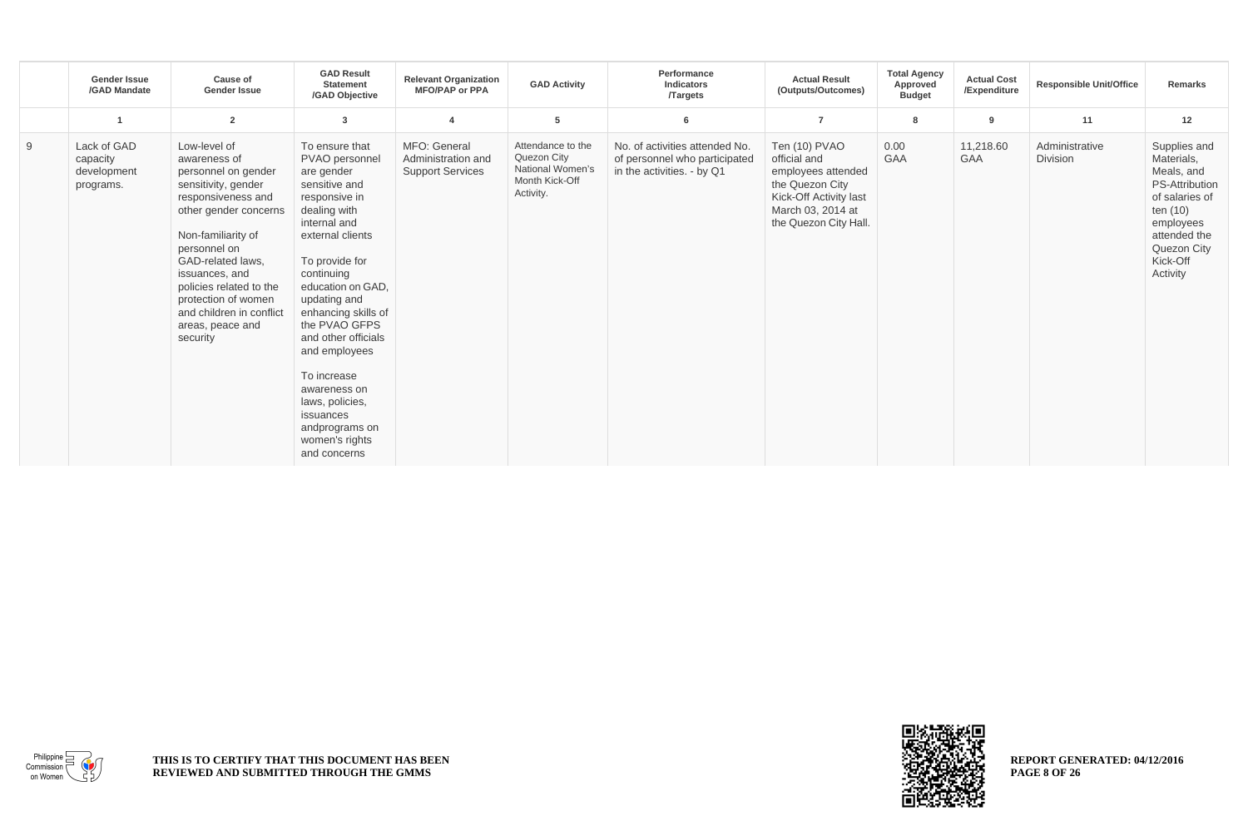|   | <b>Gender Issue</b><br>/GAD Mandate                 | <b>Cause of</b><br><b>Gender Issue</b>                                                                                                                                                                                                                                                                               | <b>GAD Result</b><br><b>Statement</b><br>/GAD Objective                                                                                                                                                                                                                                                                                                                                                      | <b>Relevant Organization</b><br><b>MFO/PAP or PPA</b>         | <b>GAD Activity</b>                                                                 | Performance<br><b>Indicators</b><br><b>Targets</b>                                            | <b>Actual Result</b><br>(Outputs/Outcomes)                                                                                                     | <b>Total Agency</b><br>Approved<br><b>Budget</b> | <b>Actual Cost</b><br>/Expenditure | <b>Responsible Unit/Office</b>    | <b>Remarks</b>                                                                                                                                                      |
|---|-----------------------------------------------------|----------------------------------------------------------------------------------------------------------------------------------------------------------------------------------------------------------------------------------------------------------------------------------------------------------------------|--------------------------------------------------------------------------------------------------------------------------------------------------------------------------------------------------------------------------------------------------------------------------------------------------------------------------------------------------------------------------------------------------------------|---------------------------------------------------------------|-------------------------------------------------------------------------------------|-----------------------------------------------------------------------------------------------|------------------------------------------------------------------------------------------------------------------------------------------------|--------------------------------------------------|------------------------------------|-----------------------------------|---------------------------------------------------------------------------------------------------------------------------------------------------------------------|
|   |                                                     | $\overline{2}$                                                                                                                                                                                                                                                                                                       | 3                                                                                                                                                                                                                                                                                                                                                                                                            | $\overline{\mathbf{4}}$                                       | 5                                                                                   | 6                                                                                             | $\overline{7}$                                                                                                                                 | 8                                                | 9                                  | 11                                | 12                                                                                                                                                                  |
| 9 | Lack of GAD<br>capacity<br>development<br>programs. | Low-level of<br>awareness of<br>personnel on gender<br>sensitivity, gender<br>responsiveness and<br>other gender concerns<br>Non-familiarity of<br>personnel on<br>GAD-related laws,<br>issuances, and<br>policies related to the<br>protection of women<br>and children in conflict<br>areas, peace and<br>security | To ensure that<br>PVAO personnel<br>are gender<br>sensitive and<br>responsive in<br>dealing with<br>internal and<br>external clients<br>To provide for<br>continuing<br>education on GAD,<br>updating and<br>enhancing skills of<br>the PVAO GFPS<br>and other officials<br>and employees<br>To increase<br>awareness on<br>laws, policies,<br>issuances<br>andprograms on<br>women's rights<br>and concerns | MFO: General<br>Administration and<br><b>Support Services</b> | Attendance to the<br>Quezon City<br>National Women's<br>Month Kick-Off<br>Activity. | No. of activities attended No.<br>of personnel who participated<br>in the activities. - by Q1 | Ten (10) PVAO<br>official and<br>employees attended<br>the Quezon City<br>Kick-Off Activity last<br>March 03, 2014 at<br>the Quezon City Hall. | 0.00<br><b>GAA</b>                               | 11,218.60<br><b>GAA</b>            | Administrative<br><b>Division</b> | Supplies and<br>Materials,<br>Meals, and<br><b>PS-Attribution</b><br>of salaries of<br>ten (10)<br>employees<br>attended the<br>Quezon City<br>Kick-Off<br>Activity |



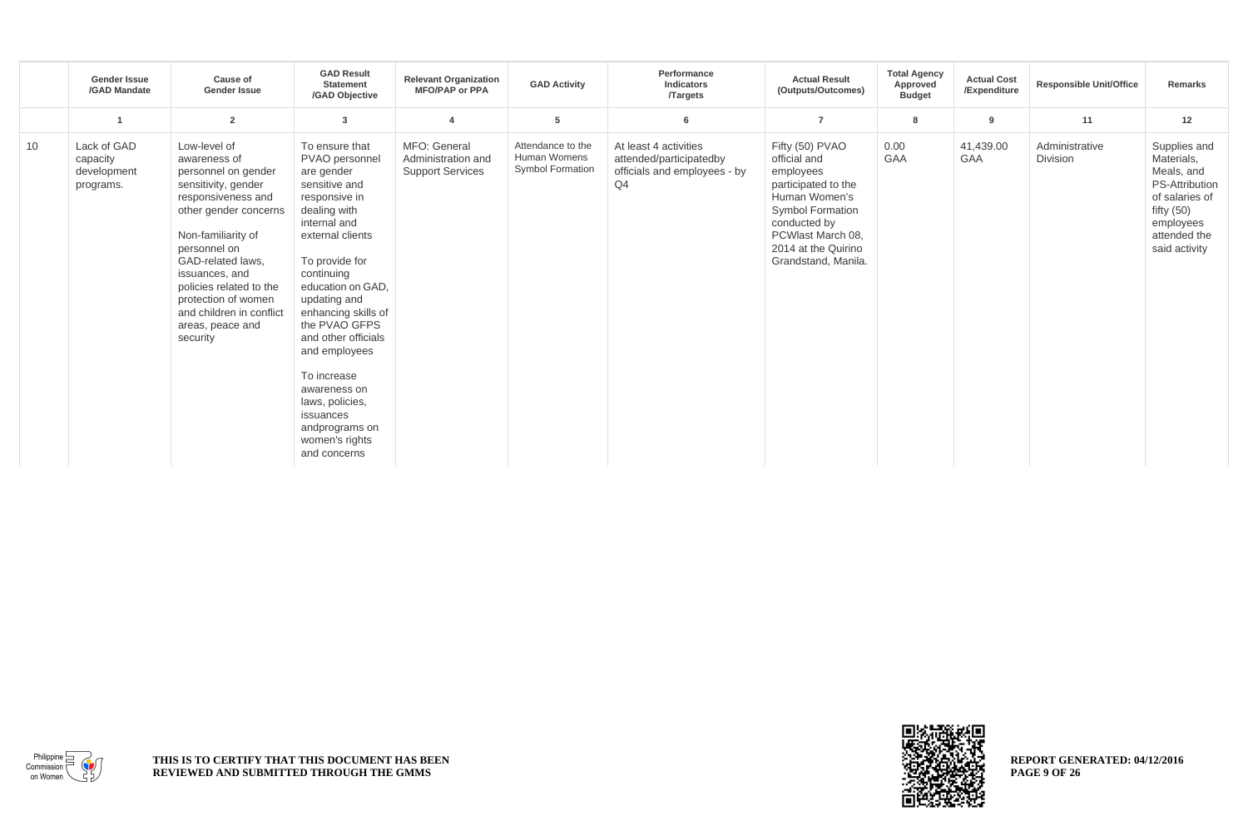|    | <b>Gender Issue</b><br>/GAD Mandate                 | Cause of<br><b>Gender Issue</b>                                                                                                                                                                                                                                                                                      | <b>GAD Result</b><br><b>Statement</b><br>/GAD Objective                                                                                                                                                                                                                                                                                                                                                      | <b>Relevant Organization</b><br><b>MFO/PAP or PPA</b>         | <b>GAD Activity</b>                                          | Performance<br>Indicators<br><b>Targets</b>                                            | <b>Actual Result</b><br>(Outputs/Outcomes)                                                                                                                                                         | <b>Total Agency</b><br>Approved<br><b>Budget</b> | <b>Actual Cost</b><br>/Expenditure | <b>Responsible Unit/Office</b> | Remarks                                                                                                                                           |
|----|-----------------------------------------------------|----------------------------------------------------------------------------------------------------------------------------------------------------------------------------------------------------------------------------------------------------------------------------------------------------------------------|--------------------------------------------------------------------------------------------------------------------------------------------------------------------------------------------------------------------------------------------------------------------------------------------------------------------------------------------------------------------------------------------------------------|---------------------------------------------------------------|--------------------------------------------------------------|----------------------------------------------------------------------------------------|----------------------------------------------------------------------------------------------------------------------------------------------------------------------------------------------------|--------------------------------------------------|------------------------------------|--------------------------------|---------------------------------------------------------------------------------------------------------------------------------------------------|
|    |                                                     | $\overline{2}$                                                                                                                                                                                                                                                                                                       | 3                                                                                                                                                                                                                                                                                                                                                                                                            |                                                               | 5                                                            | 6                                                                                      | $\overline{7}$                                                                                                                                                                                     | 8                                                | 9                                  | 11                             | 12                                                                                                                                                |
| 10 | Lack of GAD<br>capacity<br>development<br>programs. | Low-level of<br>awareness of<br>personnel on gender<br>sensitivity, gender<br>responsiveness and<br>other gender concerns<br>Non-familiarity of<br>personnel on<br>GAD-related laws,<br>issuances, and<br>policies related to the<br>protection of women<br>and children in conflict<br>areas, peace and<br>security | To ensure that<br>PVAO personnel<br>are gender<br>sensitive and<br>responsive in<br>dealing with<br>internal and<br>external clients<br>To provide for<br>continuing<br>education on GAD,<br>updating and<br>enhancing skills of<br>the PVAO GFPS<br>and other officials<br>and employees<br>To increase<br>awareness on<br>laws, policies,<br>issuances<br>andprograms on<br>women's rights<br>and concerns | MFO: General<br>Administration and<br><b>Support Services</b> | Attendance to the<br>Human Womens<br><b>Symbol Formation</b> | At least 4 activities<br>attended/participatedby<br>officials and employees - by<br>Q4 | Fifty (50) PVAO<br>official and<br>employees<br>participated to the<br>Human Women's<br><b>Symbol Formation</b><br>conducted by<br>PCWlast March 08.<br>2014 at the Quirino<br>Grandstand, Manila. | 0.00<br><b>GAA</b>                               | 41,439.00<br><b>GAA</b>            | Administrative<br>Division     | Supplies and<br>Materials,<br>Meals, and<br><b>PS-Attribution</b><br>of salaries of<br>fifty $(50)$<br>employees<br>attended the<br>said activity |



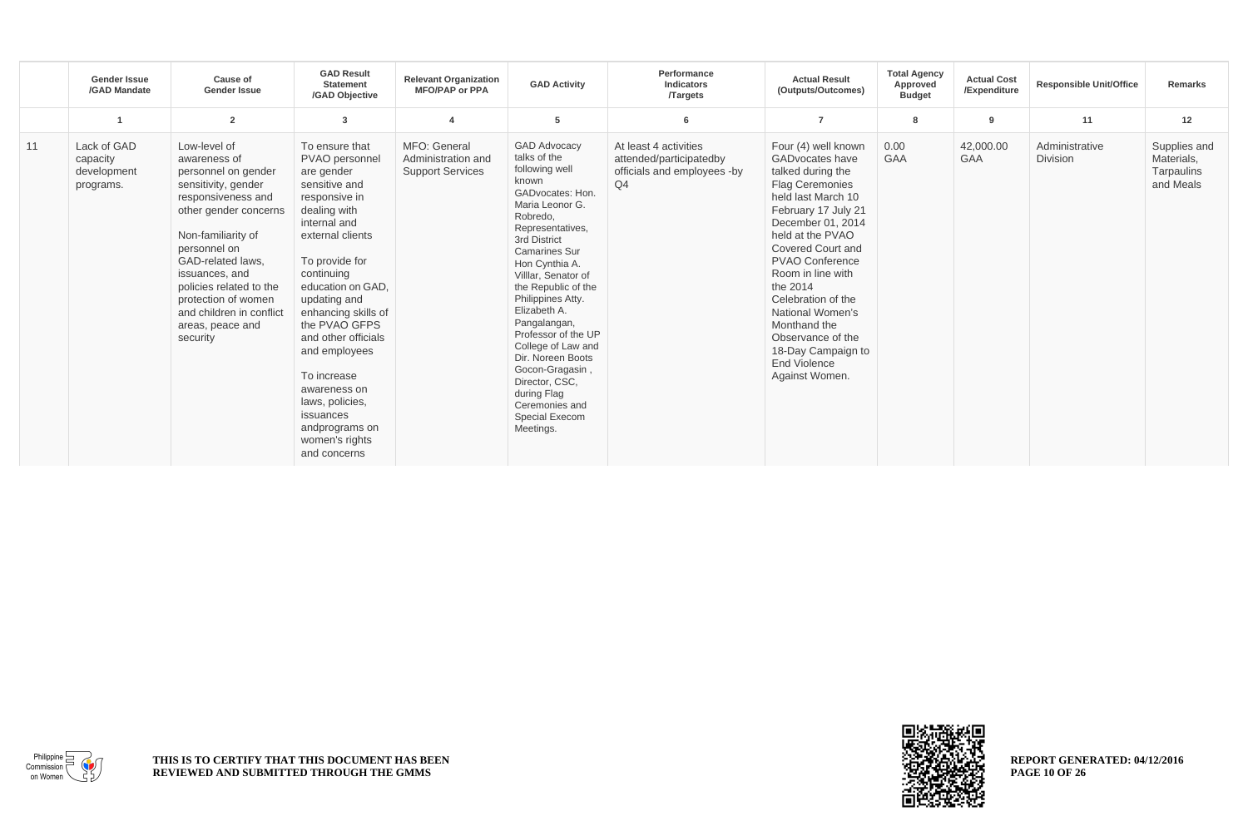|    | <b>Gender Issue</b><br>/GAD Mandate                 | Cause of<br><b>Gender Issue</b>                                                                                                                                                                                                                                                                                      | <b>GAD Result</b><br><b>Statement</b><br>/GAD Objective                                                                                                                                                                                                                                                                                                                                                      | <b>Relevant Organization</b><br><b>MFO/PAP or PPA</b>         | <b>GAD Activity</b>                                                                                                                                                                                                                                                                                                                                                                                                                                                       | Performance<br>Indicators<br><b>Targets</b>                                                       | <b>Actual Result</b><br>(Outputs/Outcomes)                                                                                                                                                                                                                                                                                                                                                         | <b>Total Agency</b><br>Approved<br><b>Budget</b> | <b>Actual Cost</b><br>/Expenditure | <b>Responsible Unit/Office</b>    | Remarks                                               |
|----|-----------------------------------------------------|----------------------------------------------------------------------------------------------------------------------------------------------------------------------------------------------------------------------------------------------------------------------------------------------------------------------|--------------------------------------------------------------------------------------------------------------------------------------------------------------------------------------------------------------------------------------------------------------------------------------------------------------------------------------------------------------------------------------------------------------|---------------------------------------------------------------|---------------------------------------------------------------------------------------------------------------------------------------------------------------------------------------------------------------------------------------------------------------------------------------------------------------------------------------------------------------------------------------------------------------------------------------------------------------------------|---------------------------------------------------------------------------------------------------|----------------------------------------------------------------------------------------------------------------------------------------------------------------------------------------------------------------------------------------------------------------------------------------------------------------------------------------------------------------------------------------------------|--------------------------------------------------|------------------------------------|-----------------------------------|-------------------------------------------------------|
|    | -1                                                  | $\overline{2}$                                                                                                                                                                                                                                                                                                       | 3                                                                                                                                                                                                                                                                                                                                                                                                            |                                                               | 5                                                                                                                                                                                                                                                                                                                                                                                                                                                                         | 6                                                                                                 | $\overline{7}$                                                                                                                                                                                                                                                                                                                                                                                     | 8                                                | 9                                  | 11                                | 12                                                    |
| 11 | Lack of GAD<br>capacity<br>development<br>programs. | Low-level of<br>awareness of<br>personnel on gender<br>sensitivity, gender<br>responsiveness and<br>other gender concerns<br>Non-familiarity of<br>personnel on<br>GAD-related laws,<br>issuances, and<br>policies related to the<br>protection of women<br>and children in conflict<br>areas, peace and<br>security | To ensure that<br>PVAO personnel<br>are gender<br>sensitive and<br>responsive in<br>dealing with<br>internal and<br>external clients<br>To provide for<br>continuing<br>education on GAD,<br>updating and<br>enhancing skills of<br>the PVAO GFPS<br>and other officials<br>and employees<br>To increase<br>awareness on<br>laws, policies,<br>issuances<br>andprograms on<br>women's rights<br>and concerns | MFO: General<br>Administration and<br><b>Support Services</b> | <b>GAD Advocacy</b><br>talks of the<br>following well<br>known<br>GADvocates: Hon.<br>Maria Leonor G.<br>Robredo,<br>Representatives,<br>3rd District<br><b>Camarines Sur</b><br>Hon Cynthia A.<br>Villlar, Senator of<br>the Republic of the<br>Philippines Atty.<br>Elizabeth A.<br>Pangalangan,<br>Professor of the UP<br>College of Law and<br>Dir. Noreen Boots<br>Gocon-Gragasin,<br>Director, CSC.<br>during Flag<br>Ceremonies and<br>Special Execom<br>Meetings. | At least 4 activities<br>attended/participatedby<br>officials and employees -by<br>Q <sub>4</sub> | Four (4) well known<br><b>GADvocates have</b><br>talked during the<br>Flag Ceremonies<br>held last March 10<br>February 17 July 21<br>December 01, 2014<br>held at the PVAO<br>Covered Court and<br><b>PVAO Conference</b><br>Room in line with<br>the 2014<br>Celebration of the<br>National Women's<br>Monthand the<br>Observance of the<br>18-Day Campaign to<br>End Violence<br>Against Women. | 0.00<br><b>GAA</b>                               | 42,000.00<br><b>GAA</b>            | Administrative<br><b>Division</b> | Supplies and<br>Materials.<br>Tarpaulins<br>and Meals |



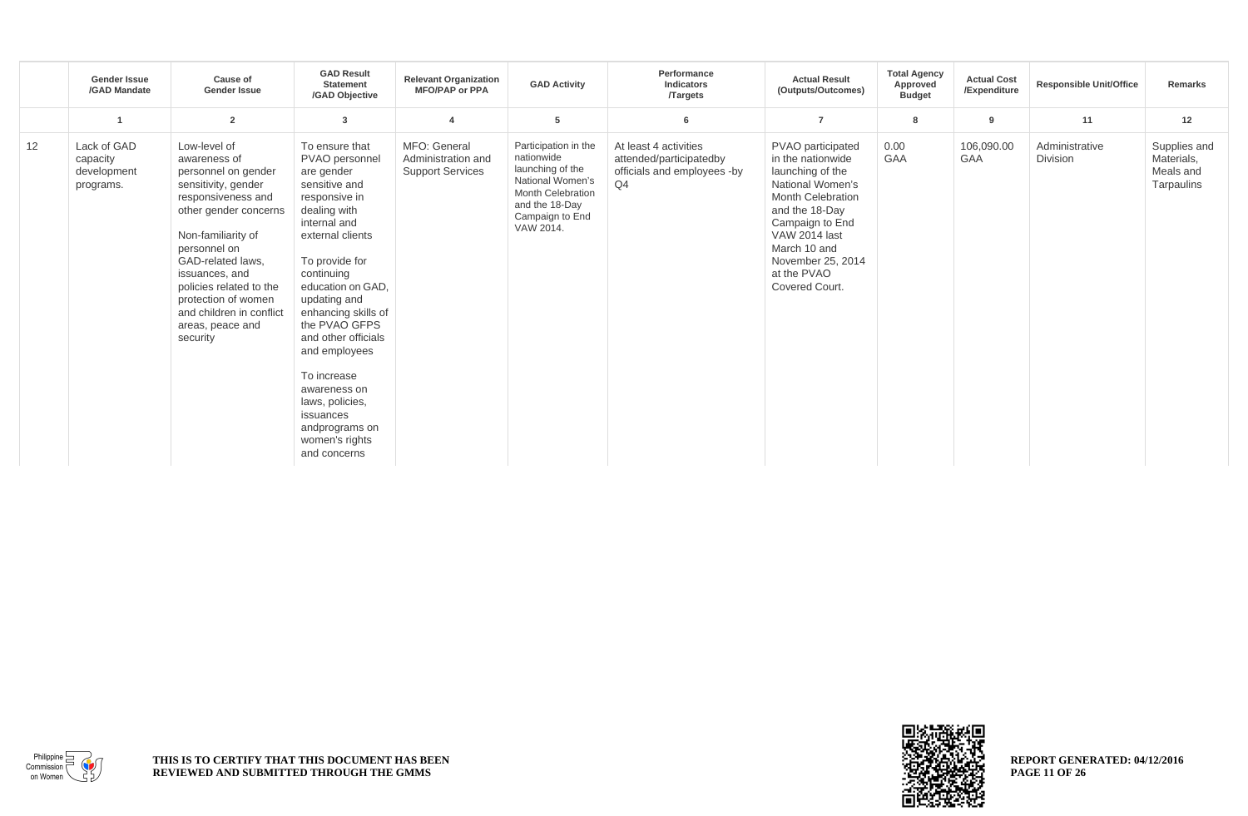|    | <b>Gender Issue</b><br>/GAD Mandate                 | Cause of<br><b>Gender Issue</b>                                                                                                                                                                                                                                                                                      | <b>GAD Result</b><br><b>Statement</b><br>/GAD Objective                                                                                                                                                                                                                                                                                                                                                      | <b>Relevant Organization</b><br><b>MFO/PAP or PPA</b>         | <b>GAD Activity</b>                                                                                                                                      | Performance<br><b>Indicators</b><br><b>Targets</b>                                                | <b>Actual Result</b><br>(Outputs/Outcomes)                                                                                                                                                                                                    | <b>Total Agency</b><br>Approved<br><b>Budget</b> | <b>Actual Cost</b><br>/Expenditure | <b>Responsible Unit/Office</b>    | Remarks                                               |
|----|-----------------------------------------------------|----------------------------------------------------------------------------------------------------------------------------------------------------------------------------------------------------------------------------------------------------------------------------------------------------------------------|--------------------------------------------------------------------------------------------------------------------------------------------------------------------------------------------------------------------------------------------------------------------------------------------------------------------------------------------------------------------------------------------------------------|---------------------------------------------------------------|----------------------------------------------------------------------------------------------------------------------------------------------------------|---------------------------------------------------------------------------------------------------|-----------------------------------------------------------------------------------------------------------------------------------------------------------------------------------------------------------------------------------------------|--------------------------------------------------|------------------------------------|-----------------------------------|-------------------------------------------------------|
|    |                                                     | $\overline{2}$                                                                                                                                                                                                                                                                                                       | 3                                                                                                                                                                                                                                                                                                                                                                                                            | 4                                                             | 5                                                                                                                                                        | 6                                                                                                 | $\overline{7}$                                                                                                                                                                                                                                | 8                                                | 9                                  | 11                                | 12                                                    |
| 12 | Lack of GAD<br>capacity<br>development<br>programs. | Low-level of<br>awareness of<br>personnel on gender<br>sensitivity, gender<br>responsiveness and<br>other gender concerns<br>Non-familiarity of<br>personnel on<br>GAD-related laws,<br>issuances, and<br>policies related to the<br>protection of women<br>and children in conflict<br>areas, peace and<br>security | To ensure that<br>PVAO personnel<br>are gender<br>sensitive and<br>responsive in<br>dealing with<br>internal and<br>external clients<br>To provide for<br>continuing<br>education on GAD,<br>updating and<br>enhancing skills of<br>the PVAO GFPS<br>and other officials<br>and employees<br>To increase<br>awareness on<br>laws, policies,<br>issuances<br>andprograms on<br>women's rights<br>and concerns | MFO: General<br>Administration and<br><b>Support Services</b> | Participation in the<br>nationwide<br>launching of the<br>National Women's<br><b>Month Celebration</b><br>and the 18-Day<br>Campaign to End<br>VAW 2014. | At least 4 activities<br>attended/participatedby<br>officials and employees -by<br>Q <sub>4</sub> | PVAO participated<br>in the nationwide<br>launching of the<br>National Women's<br><b>Month Celebration</b><br>and the 18-Day<br>Campaign to End<br><b>VAW 2014 last</b><br>March 10 and<br>November 25, 2014<br>at the PVAO<br>Covered Court. | 0.00<br><b>GAA</b>                               | 106,090.00<br><b>GAA</b>           | Administrative<br><b>Division</b> | Supplies and<br>Materials,<br>Meals and<br>Tarpaulins |



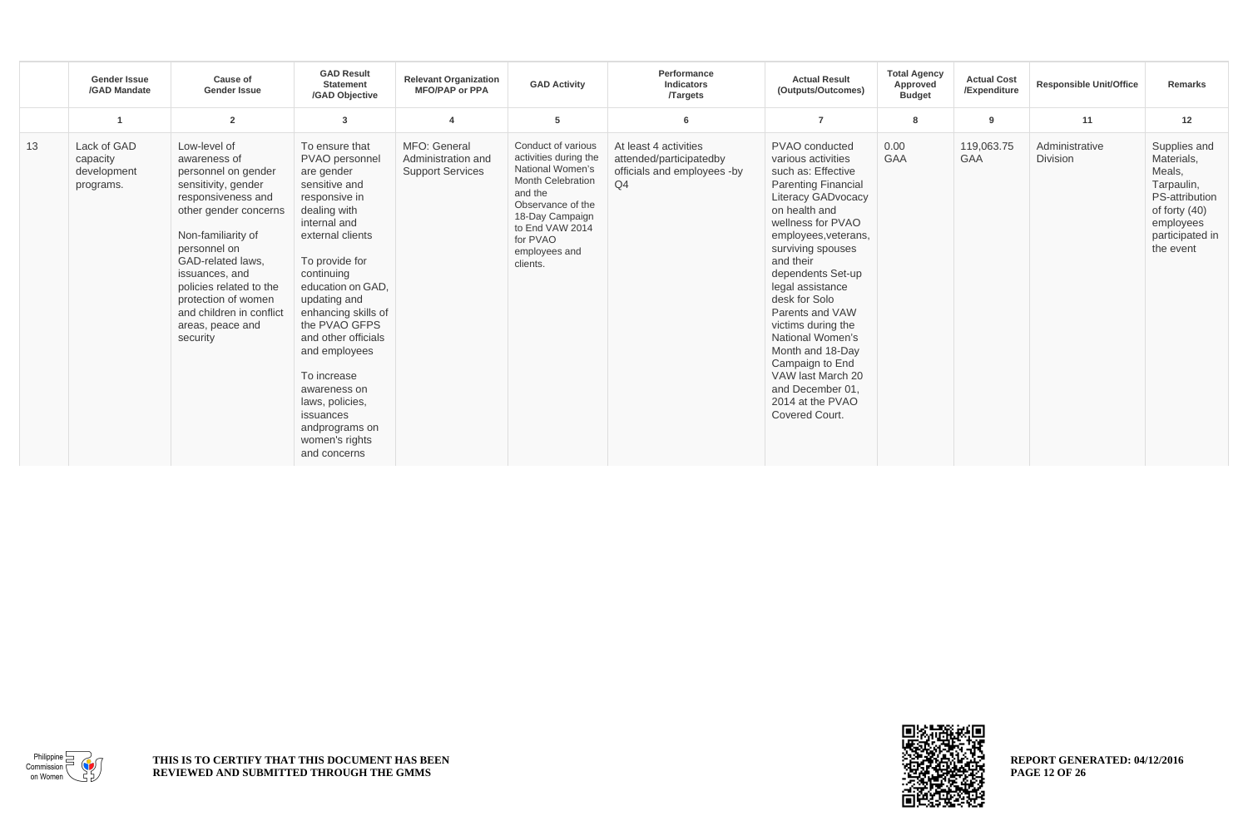|    | <b>Gender Issue</b><br>/GAD Mandate                 | <b>Cause of</b><br><b>Gender Issue</b>                                                                                                                                                                                                                                                                               | <b>GAD Result</b><br><b>Statement</b><br>/GAD Obiective                                                                                                                                                                                                                                                                                                                                                      | <b>Relevant Organization</b><br><b>MFO/PAP or PPA</b>         | <b>GAD Activity</b>                                                                                                                                                                                        | Performance<br>Indicators<br><b>Targets</b>                                                       | <b>Actual Result</b><br>(Outputs/Outcomes)                                                                                                                                                                                                                                                                                                                                                                                                                                | <b>Total Agency</b><br>Approved<br><b>Budget</b> | <b>Actual Cost</b><br>/Expenditure | <b>Responsible Unit/Office</b>    | Remarks                                                                                                                              |
|----|-----------------------------------------------------|----------------------------------------------------------------------------------------------------------------------------------------------------------------------------------------------------------------------------------------------------------------------------------------------------------------------|--------------------------------------------------------------------------------------------------------------------------------------------------------------------------------------------------------------------------------------------------------------------------------------------------------------------------------------------------------------------------------------------------------------|---------------------------------------------------------------|------------------------------------------------------------------------------------------------------------------------------------------------------------------------------------------------------------|---------------------------------------------------------------------------------------------------|---------------------------------------------------------------------------------------------------------------------------------------------------------------------------------------------------------------------------------------------------------------------------------------------------------------------------------------------------------------------------------------------------------------------------------------------------------------------------|--------------------------------------------------|------------------------------------|-----------------------------------|--------------------------------------------------------------------------------------------------------------------------------------|
|    |                                                     | $\overline{2}$                                                                                                                                                                                                                                                                                                       | 3                                                                                                                                                                                                                                                                                                                                                                                                            |                                                               | 5                                                                                                                                                                                                          | 6                                                                                                 | $\overline{7}$                                                                                                                                                                                                                                                                                                                                                                                                                                                            | 8                                                | 9                                  | 11                                | 12                                                                                                                                   |
| 13 | Lack of GAD<br>capacity<br>development<br>programs. | Low-level of<br>awareness of<br>personnel on gender<br>sensitivity, gender<br>responsiveness and<br>other gender concerns<br>Non-familiarity of<br>personnel on<br>GAD-related laws.<br>issuances, and<br>policies related to the<br>protection of women<br>and children in conflict<br>areas, peace and<br>security | To ensure that<br>PVAO personnel<br>are gender<br>sensitive and<br>responsive in<br>dealing with<br>internal and<br>external clients<br>To provide for<br>continuing<br>education on GAD,<br>updating and<br>enhancing skills of<br>the PVAO GFPS<br>and other officials<br>and employees<br>To increase<br>awareness on<br>laws, policies,<br>issuances<br>andprograms on<br>women's rights<br>and concerns | MFO: General<br>Administration and<br><b>Support Services</b> | Conduct of various<br>activities during the<br>National Women's<br><b>Month Celebration</b><br>and the<br>Observance of the<br>18-Day Campaign<br>to End VAW 2014<br>for PVAO<br>employees and<br>clients. | At least 4 activities<br>attended/participatedby<br>officials and employees -by<br>Q <sub>4</sub> | PVAO conducted<br>various activities<br>such as: Effective<br><b>Parenting Financial</b><br><b>Literacy GADvocacy</b><br>on health and<br>wellness for PVAO<br>employees, veterans,<br>surviving spouses<br>and their<br>dependents Set-up<br>legal assistance<br>desk for Solo<br>Parents and VAW<br>victims during the<br>National Women's<br>Month and 18-Day<br>Campaign to End<br>VAW last March 20<br>and December 01.<br>2014 at the PVAO<br><b>Covered Court.</b> | 0.00<br><b>GAA</b>                               | 119,063.75<br><b>GAA</b>           | Administrative<br><b>Division</b> | Supplies and<br>Materials,<br>Meals,<br>Tarpaulin,<br>PS-attribution<br>of forty $(40)$<br>employees<br>participated in<br>the event |



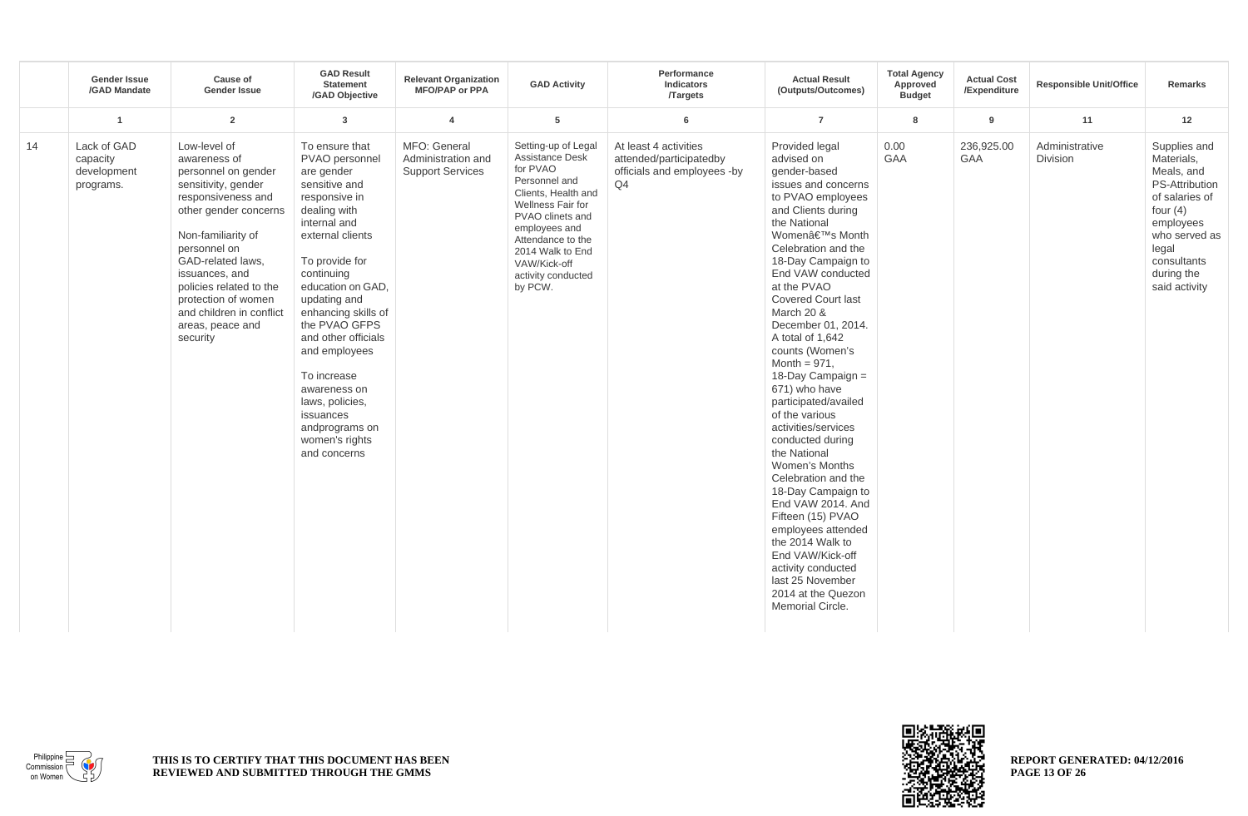|    | <b>Gender Issue</b><br>/GAD Mandate                 | <b>Cause of</b><br><b>Gender Issue</b>                                                                                                                                                                                                                                                                               | <b>GAD Result</b><br><b>Statement</b><br>/GAD Objective                                                                                                                                                                                                                                                                                                                                                      | <b>Relevant Organization</b><br><b>MFO/PAP or PPA</b>         | <b>GAD Activity</b>                                                                                                                                                                                                                                   | Performance<br>Indicators<br><b>Targets</b>                                           | <b>Actual Result</b><br>(Outputs/Outcomes)                                                                                                                                                                                                                                                                                                                                                                                                                                                                                                                                                                                                                                                                                                                        | <b>Total Agency</b><br>Approved<br><b>Budget</b> | <b>Actual Cost</b><br>/Expenditure | <b>Responsible Unit/Office</b> | Remarks                                                                                                                                                                                |
|----|-----------------------------------------------------|----------------------------------------------------------------------------------------------------------------------------------------------------------------------------------------------------------------------------------------------------------------------------------------------------------------------|--------------------------------------------------------------------------------------------------------------------------------------------------------------------------------------------------------------------------------------------------------------------------------------------------------------------------------------------------------------------------------------------------------------|---------------------------------------------------------------|-------------------------------------------------------------------------------------------------------------------------------------------------------------------------------------------------------------------------------------------------------|---------------------------------------------------------------------------------------|-------------------------------------------------------------------------------------------------------------------------------------------------------------------------------------------------------------------------------------------------------------------------------------------------------------------------------------------------------------------------------------------------------------------------------------------------------------------------------------------------------------------------------------------------------------------------------------------------------------------------------------------------------------------------------------------------------------------------------------------------------------------|--------------------------------------------------|------------------------------------|--------------------------------|----------------------------------------------------------------------------------------------------------------------------------------------------------------------------------------|
|    | $\overline{1}$                                      | $\overline{2}$                                                                                                                                                                                                                                                                                                       | $\overline{3}$                                                                                                                                                                                                                                                                                                                                                                                               | 4                                                             | 5                                                                                                                                                                                                                                                     | 6                                                                                     | $\overline{7}$                                                                                                                                                                                                                                                                                                                                                                                                                                                                                                                                                                                                                                                                                                                                                    | 8                                                | 9                                  | 11                             | 12                                                                                                                                                                                     |
| 14 | Lack of GAD<br>capacity<br>development<br>programs. | Low-level of<br>awareness of<br>personnel on gender<br>sensitivity, gender<br>responsiveness and<br>other gender concerns<br>Non-familiarity of<br>personnel on<br>GAD-related laws,<br>issuances, and<br>policies related to the<br>protection of women<br>and children in conflict<br>areas, peace and<br>security | To ensure that<br>PVAO personnel<br>are gender<br>sensitive and<br>responsive in<br>dealing with<br>internal and<br>external clients<br>To provide for<br>continuing<br>education on GAD,<br>updating and<br>enhancing skills of<br>the PVAO GFPS<br>and other officials<br>and employees<br>To increase<br>awareness on<br>laws, policies,<br>issuances<br>andprograms on<br>women's rights<br>and concerns | MFO: General<br>Administration and<br><b>Support Services</b> | Setting-up of Legal<br><b>Assistance Desk</b><br>for PVAO<br>Personnel and<br>Clients, Health and<br>Wellness Fair for<br>PVAO clinets and<br>employees and<br>Attendance to the<br>2014 Walk to End<br>VAW/Kick-off<br>activity conducted<br>by PCW. | At least 4 activities<br>attended/participatedby<br>officials and employees -by<br>Q4 | Provided legal<br>advised on<br>gender-based<br>issues and concerns<br>to PVAO employees<br>and Clients during<br>the National<br>Women's Month<br>Celebration and the<br>18-Day Campaign to<br>End VAW conducted<br>at the PVAO<br><b>Covered Court last</b><br>March 20 &<br>December 01, 2014.<br>A total of 1,642<br>counts (Women's<br>Month = $971$ .<br>18-Day Campaign =<br>671) who have<br>participated/availed<br>of the various<br>activities/services<br>conducted during<br>the National<br>Women's Months<br>Celebration and the<br>18-Day Campaign to<br>End VAW 2014. And<br>Fifteen (15) PVAO<br>employees attended<br>the 2014 Walk to<br>End VAW/Kick-off<br>activity conducted<br>last 25 November<br>2014 at the Quezon<br>Memorial Circle. | 0.00<br><b>GAA</b>                               | 236,925.00<br><b>GAA</b>           | Administrative<br>Division     | Supplies and<br>Materials,<br>Meals, and<br><b>PS-Attribution</b><br>of salaries of<br>four $(4)$<br>employees<br>who served as<br>legal<br>consultants<br>during the<br>said activity |



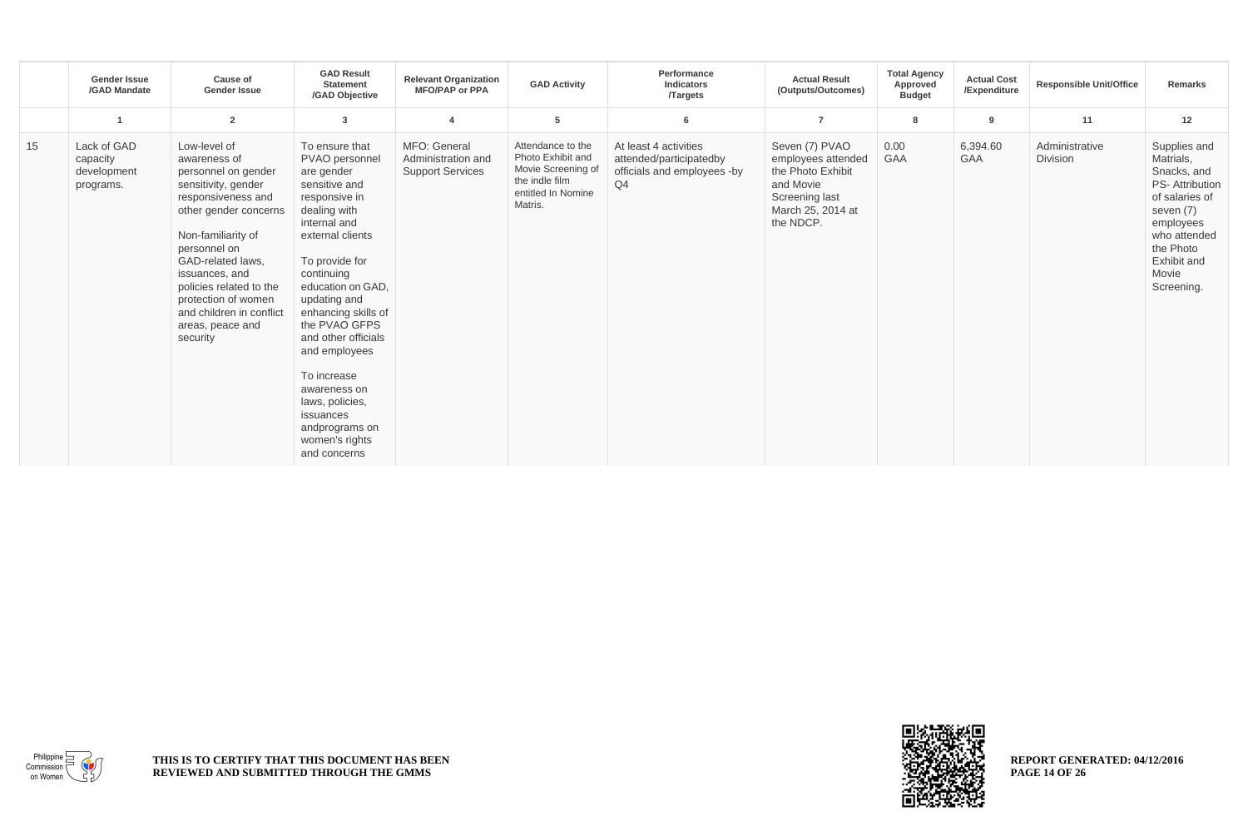|    | <b>Gender Issue</b><br>/GAD Mandate                 | <b>Cause of</b><br><b>Gender Issue</b>                                                                                                                                                                                                                                                                               | <b>GAD Result</b><br><b>Statement</b><br>/GAD Objective                                                                                                                                                                                                                                                                                                                                                      | <b>Relevant Organization</b><br><b>MFO/PAP or PPA</b>         | <b>GAD Activity</b>                                                                                             | Performance<br>Indicators<br><b>Targets</b>                                                       | <b>Actual Result</b><br>(Outputs/Outcomes)                                                                                 | <b>Total Agency</b><br>Approved<br><b>Budget</b> | <b>Actual Cost</b><br>/Expenditure | <b>Responsible Unit/Office</b>    | <b>Remarks</b>                                                                                                                                                                   |
|----|-----------------------------------------------------|----------------------------------------------------------------------------------------------------------------------------------------------------------------------------------------------------------------------------------------------------------------------------------------------------------------------|--------------------------------------------------------------------------------------------------------------------------------------------------------------------------------------------------------------------------------------------------------------------------------------------------------------------------------------------------------------------------------------------------------------|---------------------------------------------------------------|-----------------------------------------------------------------------------------------------------------------|---------------------------------------------------------------------------------------------------|----------------------------------------------------------------------------------------------------------------------------|--------------------------------------------------|------------------------------------|-----------------------------------|----------------------------------------------------------------------------------------------------------------------------------------------------------------------------------|
|    |                                                     | $\overline{2}$                                                                                                                                                                                                                                                                                                       | 3                                                                                                                                                                                                                                                                                                                                                                                                            | $\overline{\mathbf{4}}$                                       | 5                                                                                                               | 6                                                                                                 | $\overline{7}$                                                                                                             | 8                                                | 9                                  | 11                                | 12                                                                                                                                                                               |
| 15 | Lack of GAD<br>capacity<br>development<br>programs. | Low-level of<br>awareness of<br>personnel on gender<br>sensitivity, gender<br>responsiveness and<br>other gender concerns<br>Non-familiarity of<br>personnel on<br>GAD-related laws,<br>issuances, and<br>policies related to the<br>protection of women<br>and children in conflict<br>areas, peace and<br>security | To ensure that<br>PVAO personnel<br>are gender<br>sensitive and<br>responsive in<br>dealing with<br>internal and<br>external clients<br>To provide for<br>continuing<br>education on GAD,<br>updating and<br>enhancing skills of<br>the PVAO GFPS<br>and other officials<br>and employees<br>To increase<br>awareness on<br>laws, policies,<br>issuances<br>andprograms on<br>women's rights<br>and concerns | MFO: General<br>Administration and<br><b>Support Services</b> | Attendance to the<br>Photo Exhibit and<br>Movie Screening of<br>the indle film<br>entitled In Nomine<br>Matris. | At least 4 activities<br>attended/participatedby<br>officials and employees -by<br>Q <sub>4</sub> | Seven (7) PVAO<br>employees attended<br>the Photo Exhibit<br>and Movie<br>Screening last<br>March 25, 2014 at<br>the NDCP. | 0.00<br><b>GAA</b>                               | 6,394.60<br><b>GAA</b>             | Administrative<br><b>Division</b> | Supplies and<br>Matrials,<br>Snacks, and<br><b>PS-Attribution</b><br>of salaries of<br>seven (7)<br>employees<br>who attended<br>the Photo<br>Exhibit and<br>Movie<br>Screening. |



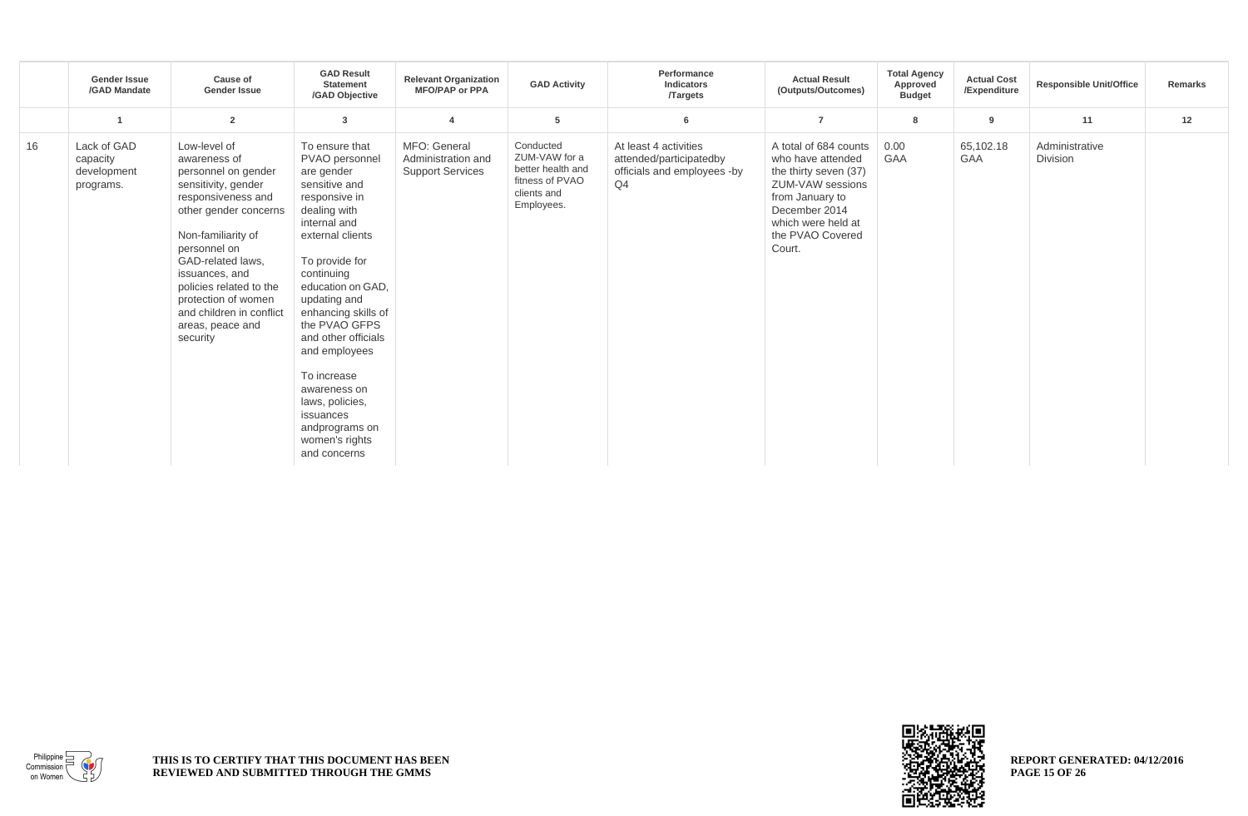|    | <b>Gender Issue</b><br>/GAD Mandate                 | Cause of<br><b>Gender Issue</b>                                                                                                                                                                                                                                                                                      | <b>GAD Result</b><br><b>Statement</b><br>/GAD Objective                                                                                                                                                                                                                                                                                                                                                      | <b>Relevant Organization</b><br><b>MFO/PAP or PPA</b>         | <b>GAD Activity</b>                                                                             | Performance<br>Indicators<br><b>Targets</b>                                           | <b>Actual Result</b><br>(Outputs/Outcomes)                                                                                                                                      | <b>Total Agency</b><br>Approved<br><b>Budget</b> | <b>Actual Cost</b><br>/Expenditure | <b>Responsible Unit/Office</b> | Remarks |
|----|-----------------------------------------------------|----------------------------------------------------------------------------------------------------------------------------------------------------------------------------------------------------------------------------------------------------------------------------------------------------------------------|--------------------------------------------------------------------------------------------------------------------------------------------------------------------------------------------------------------------------------------------------------------------------------------------------------------------------------------------------------------------------------------------------------------|---------------------------------------------------------------|-------------------------------------------------------------------------------------------------|---------------------------------------------------------------------------------------|---------------------------------------------------------------------------------------------------------------------------------------------------------------------------------|--------------------------------------------------|------------------------------------|--------------------------------|---------|
|    |                                                     | $\overline{2}$                                                                                                                                                                                                                                                                                                       | 3                                                                                                                                                                                                                                                                                                                                                                                                            |                                                               | 5                                                                                               | 6                                                                                     | $\overline{7}$                                                                                                                                                                  | 8                                                | $\overline{9}$                     | 11                             | 12      |
| 16 | Lack of GAD<br>capacity<br>development<br>programs. | Low-level of<br>awareness of<br>personnel on gender<br>sensitivity, gender<br>responsiveness and<br>other gender concerns<br>Non-familiarity of<br>personnel on<br>GAD-related laws,<br>issuances, and<br>policies related to the<br>protection of women<br>and children in conflict<br>areas, peace and<br>security | To ensure that<br>PVAO personnel<br>are gender<br>sensitive and<br>responsive in<br>dealing with<br>internal and<br>external clients<br>To provide for<br>continuing<br>education on GAD,<br>updating and<br>enhancing skills of<br>the PVAO GFPS<br>and other officials<br>and employees<br>To increase<br>awareness on<br>laws, policies,<br>issuances<br>andprograms on<br>women's rights<br>and concerns | MFO: General<br>Administration and<br><b>Support Services</b> | Conducted<br>ZUM-VAW for a<br>better health and<br>fitness of PVAO<br>clients and<br>Employees. | At least 4 activities<br>attended/participatedby<br>officials and employees -by<br>Q4 | A total of 684 counts<br>who have attended<br>the thirty seven (37)<br>ZUM-VAW sessions<br>from January to<br>December 2014<br>which were held at<br>the PVAO Covered<br>Court. | 0.00<br><b>GAA</b>                               | 65,102.18<br><b>GAA</b>            | Administrative<br>Division     |         |



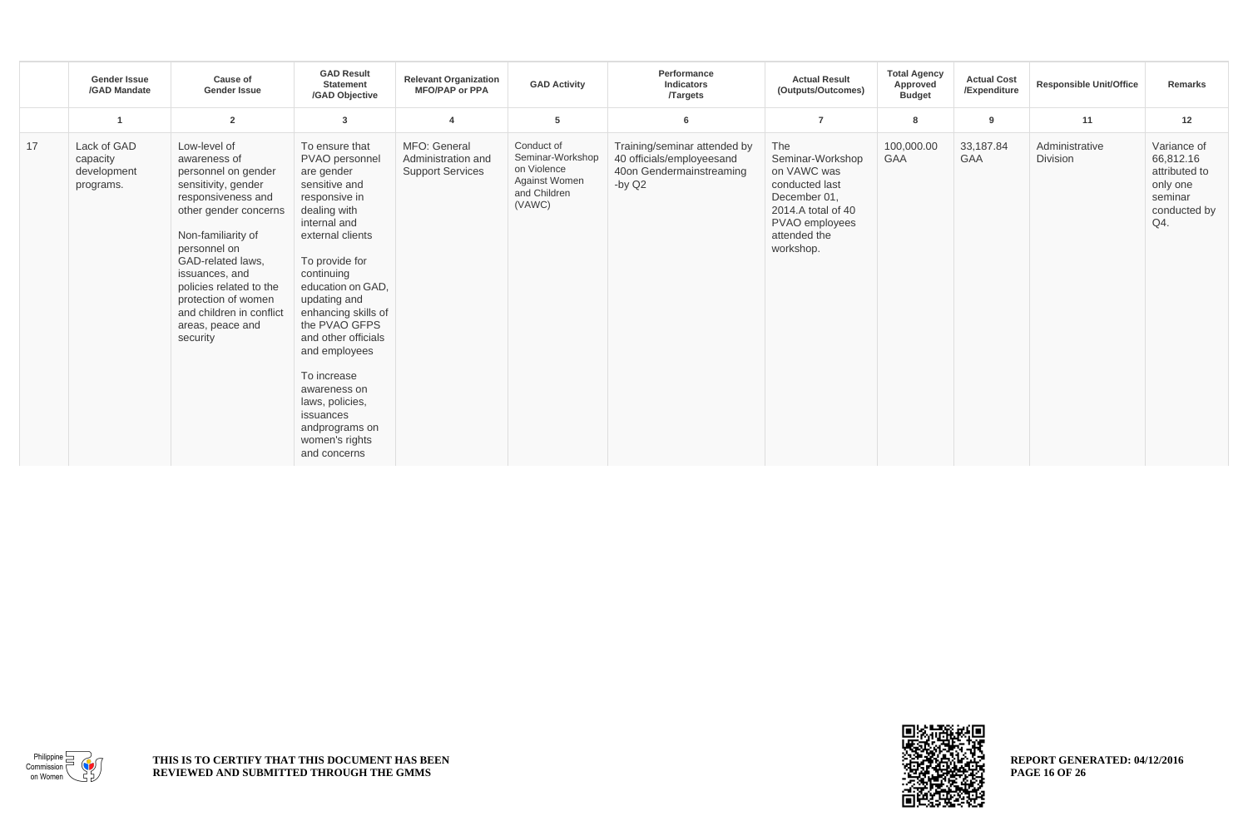|    | <b>Gender Issue</b><br>/GAD Mandate                 | Cause of<br><b>Gender Issue</b>                                                                                                                                                                                                                                                                                      | <b>GAD Result</b><br><b>Statement</b><br>/GAD Objective                                                                                                                                                                                                                                                                                                                                                      | <b>Relevant Organization</b><br><b>MFO/PAP or PPA</b>         | <b>GAD Activity</b>                                                                      | Performance<br>Indicators<br><b>Targets</b>                                                       | <b>Actual Result</b><br>(Outputs/Outcomes)                                                                                                    | <b>Total Agency</b><br>Approved<br><b>Budget</b> | <b>Actual Cost</b><br>/Expenditure | <b>Responsible Unit/Office</b> | Remarks                                                                                 |
|----|-----------------------------------------------------|----------------------------------------------------------------------------------------------------------------------------------------------------------------------------------------------------------------------------------------------------------------------------------------------------------------------|--------------------------------------------------------------------------------------------------------------------------------------------------------------------------------------------------------------------------------------------------------------------------------------------------------------------------------------------------------------------------------------------------------------|---------------------------------------------------------------|------------------------------------------------------------------------------------------|---------------------------------------------------------------------------------------------------|-----------------------------------------------------------------------------------------------------------------------------------------------|--------------------------------------------------|------------------------------------|--------------------------------|-----------------------------------------------------------------------------------------|
|    |                                                     | $\overline{2}$                                                                                                                                                                                                                                                                                                       | 3                                                                                                                                                                                                                                                                                                                                                                                                            | $\overline{a}$                                                | 5                                                                                        | 6                                                                                                 | $\overline{7}$                                                                                                                                | 8                                                | 9                                  | 11                             | 12                                                                                      |
| 17 | Lack of GAD<br>capacity<br>development<br>programs. | Low-level of<br>awareness of<br>personnel on gender<br>sensitivity, gender<br>responsiveness and<br>other gender concerns<br>Non-familiarity of<br>personnel on<br>GAD-related laws,<br>issuances, and<br>policies related to the<br>protection of women<br>and children in conflict<br>areas, peace and<br>security | To ensure that<br>PVAO personnel<br>are gender<br>sensitive and<br>responsive in<br>dealing with<br>internal and<br>external clients<br>To provide for<br>continuing<br>education on GAD,<br>updating and<br>enhancing skills of<br>the PVAO GFPS<br>and other officials<br>and employees<br>To increase<br>awareness on<br>laws, policies,<br>issuances<br>andprograms on<br>women's rights<br>and concerns | MFO: General<br>Administration and<br><b>Support Services</b> | Conduct of<br>Seminar-Workshop<br>on Violence<br>Against Women<br>and Children<br>(VAWC) | Training/seminar attended by<br>40 officials/employeesand<br>40on Gendermainstreaming<br>-by $Q2$ | The<br>Seminar-Workshop<br>on VAWC was<br>conducted last<br>December 01.<br>2014.A total of 40<br>PVAO employees<br>attended the<br>workshop. | 100,000.00<br><b>GAA</b>                         | 33,187.84<br><b>GAA</b>            | Administrative<br>Division     | Variance of<br>66,812.16<br>attributed to<br>only one<br>seminar<br>conducted by<br>Q4. |



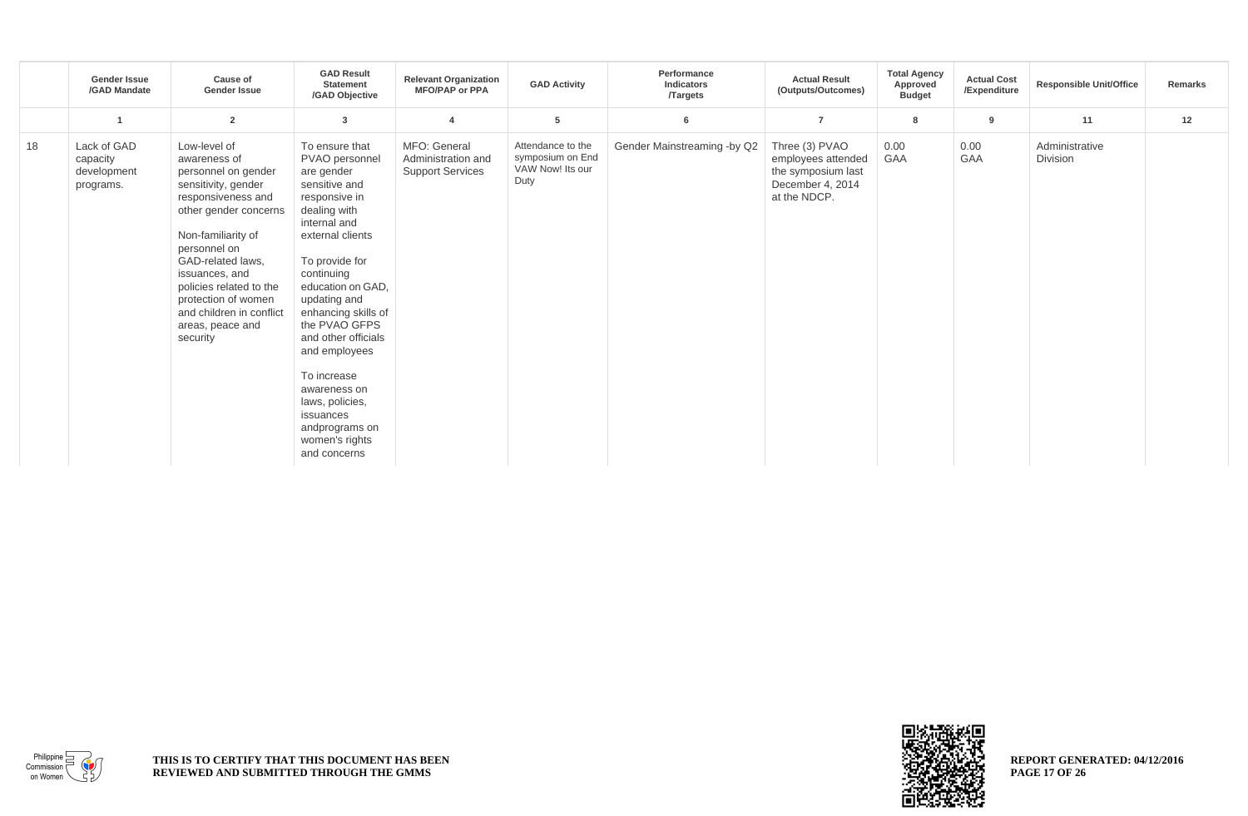|    | <b>Gender Issue</b><br>/GAD Mandate                 | <b>Cause of</b><br><b>Gender Issue</b>                                                                                                                                                                                                                                                                               | <b>GAD Result</b><br><b>Statement</b><br>/GAD Objective                                                                                                                                                                                                                                                                                                                                                      | <b>Relevant Organization</b><br><b>MFO/PAP or PPA</b>         | <b>GAD Activity</b>                                               | Performance<br><b>Indicators</b><br><b>Targets</b> | <b>Actual Result</b><br>(Outputs/Outcomes)                                                     | <b>Total Agency</b><br>Approved<br><b>Budget</b> | <b>Actual Cost</b><br>/Expenditure | <b>Responsible Unit/Office</b> | Remarks |
|----|-----------------------------------------------------|----------------------------------------------------------------------------------------------------------------------------------------------------------------------------------------------------------------------------------------------------------------------------------------------------------------------|--------------------------------------------------------------------------------------------------------------------------------------------------------------------------------------------------------------------------------------------------------------------------------------------------------------------------------------------------------------------------------------------------------------|---------------------------------------------------------------|-------------------------------------------------------------------|----------------------------------------------------|------------------------------------------------------------------------------------------------|--------------------------------------------------|------------------------------------|--------------------------------|---------|
|    |                                                     | $\overline{2}$                                                                                                                                                                                                                                                                                                       | 3                                                                                                                                                                                                                                                                                                                                                                                                            | 4                                                             | 5                                                                 | 6                                                  | $\overline{7}$                                                                                 | 8                                                | 9                                  | 11                             | 12      |
| 18 | Lack of GAD<br>capacity<br>development<br>programs. | Low-level of<br>awareness of<br>personnel on gender<br>sensitivity, gender<br>responsiveness and<br>other gender concerns<br>Non-familiarity of<br>personnel on<br>GAD-related laws,<br>issuances, and<br>policies related to the<br>protection of women<br>and children in conflict<br>areas, peace and<br>security | To ensure that<br>PVAO personnel<br>are gender<br>sensitive and<br>responsive in<br>dealing with<br>internal and<br>external clients<br>To provide for<br>continuing<br>education on GAD.<br>updating and<br>enhancing skills of<br>the PVAO GFPS<br>and other officials<br>and employees<br>To increase<br>awareness on<br>laws, policies,<br>issuances<br>andprograms on<br>women's rights<br>and concerns | MFO: General<br>Administration and<br><b>Support Services</b> | Attendance to the<br>symposium on End<br>VAW Now! Its our<br>Duty | Gender Mainstreaming -by Q2                        | Three (3) PVAO<br>employees attended<br>the symposium last<br>December 4, 2014<br>at the NDCP. | 0.00<br><b>GAA</b>                               | 0.00<br><b>GAA</b>                 | Administrative<br>Division     |         |



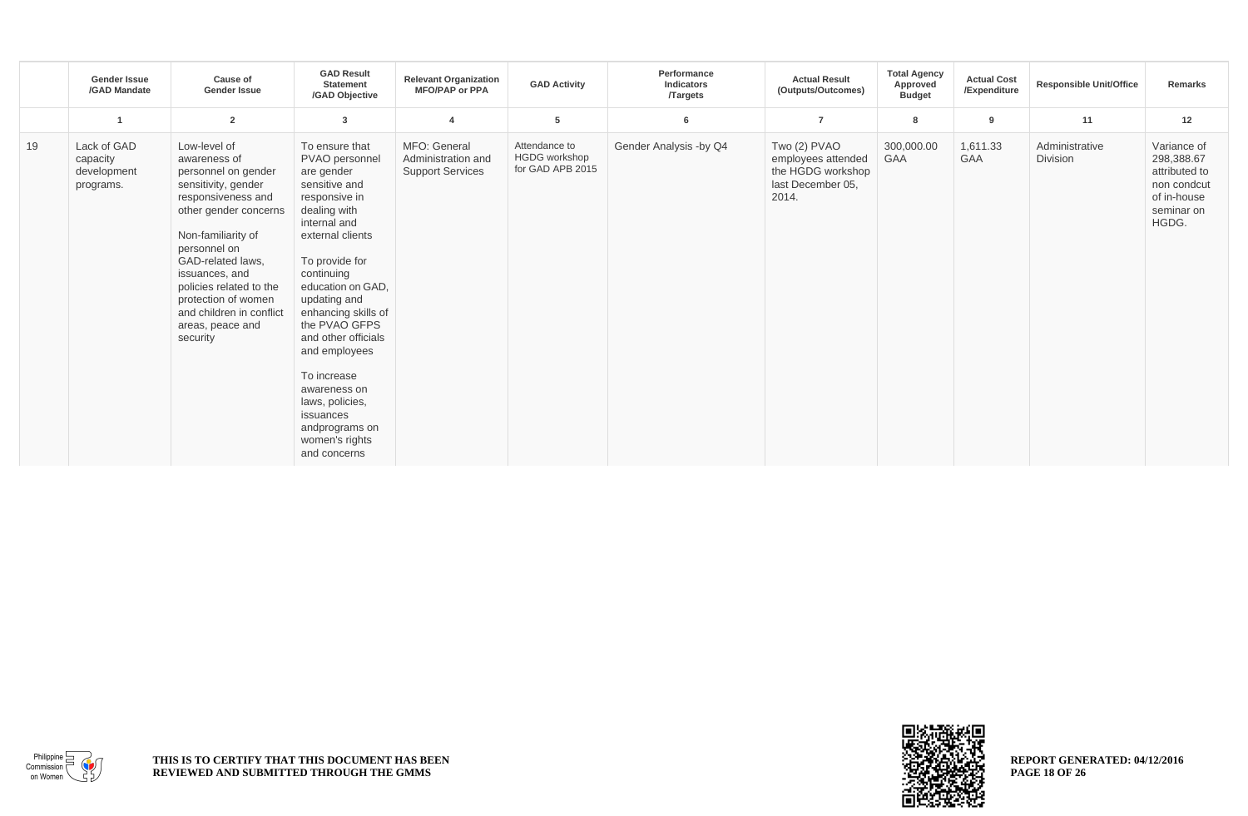|    | <b>Gender Issue</b><br>/GAD Mandate                 | <b>Cause of</b><br><b>Gender Issue</b>                                                                                                                                                                                                                                                                               | <b>GAD Result</b><br><b>Statement</b><br>/GAD Objective                                                                                                                                                                                                                                                                                                                                                      | <b>Relevant Organization</b><br><b>MFO/PAP or PPA</b>         | <b>GAD Activity</b>                                       | Performance<br><b>Indicators</b><br><b>Targets</b> | <b>Actual Result</b><br>(Outputs/Outcomes)                                            | <b>Total Agency</b><br>Approved<br><b>Budget</b> | <b>Actual Cost</b><br>/Expenditure | <b>Responsible Unit/Office</b> | Remarks                                                                                         |
|----|-----------------------------------------------------|----------------------------------------------------------------------------------------------------------------------------------------------------------------------------------------------------------------------------------------------------------------------------------------------------------------------|--------------------------------------------------------------------------------------------------------------------------------------------------------------------------------------------------------------------------------------------------------------------------------------------------------------------------------------------------------------------------------------------------------------|---------------------------------------------------------------|-----------------------------------------------------------|----------------------------------------------------|---------------------------------------------------------------------------------------|--------------------------------------------------|------------------------------------|--------------------------------|-------------------------------------------------------------------------------------------------|
|    |                                                     | $\overline{2}$                                                                                                                                                                                                                                                                                                       | 3                                                                                                                                                                                                                                                                                                                                                                                                            | 4                                                             | 5                                                         | 6                                                  | $\overline{7}$                                                                        | 8                                                | 9                                  | 11                             | 12                                                                                              |
| 19 | Lack of GAD<br>capacity<br>development<br>programs. | Low-level of<br>awareness of<br>personnel on gender<br>sensitivity, gender<br>responsiveness and<br>other gender concerns<br>Non-familiarity of<br>personnel on<br>GAD-related laws,<br>issuances, and<br>policies related to the<br>protection of women<br>and children in conflict<br>areas, peace and<br>security | To ensure that<br>PVAO personnel<br>are gender<br>sensitive and<br>responsive in<br>dealing with<br>internal and<br>external clients<br>To provide for<br>continuing<br>education on GAD,<br>updating and<br>enhancing skills of<br>the PVAO GFPS<br>and other officials<br>and employees<br>To increase<br>awareness on<br>laws, policies,<br>issuances<br>andprograms on<br>women's rights<br>and concerns | MFO: General<br>Administration and<br><b>Support Services</b> | Attendance to<br><b>HGDG</b> workshop<br>for GAD APB 2015 | Gender Analysis -by Q4                             | Two (2) PVAO<br>employees attended<br>the HGDG workshop<br>last December 05,<br>2014. | 300,000.00<br><b>GAA</b>                         | 1,611.33<br><b>GAA</b>             | Administrative<br>Division     | Variance of<br>298,388.67<br>attributed to<br>non condcut<br>of in-house<br>seminar on<br>HGDG. |



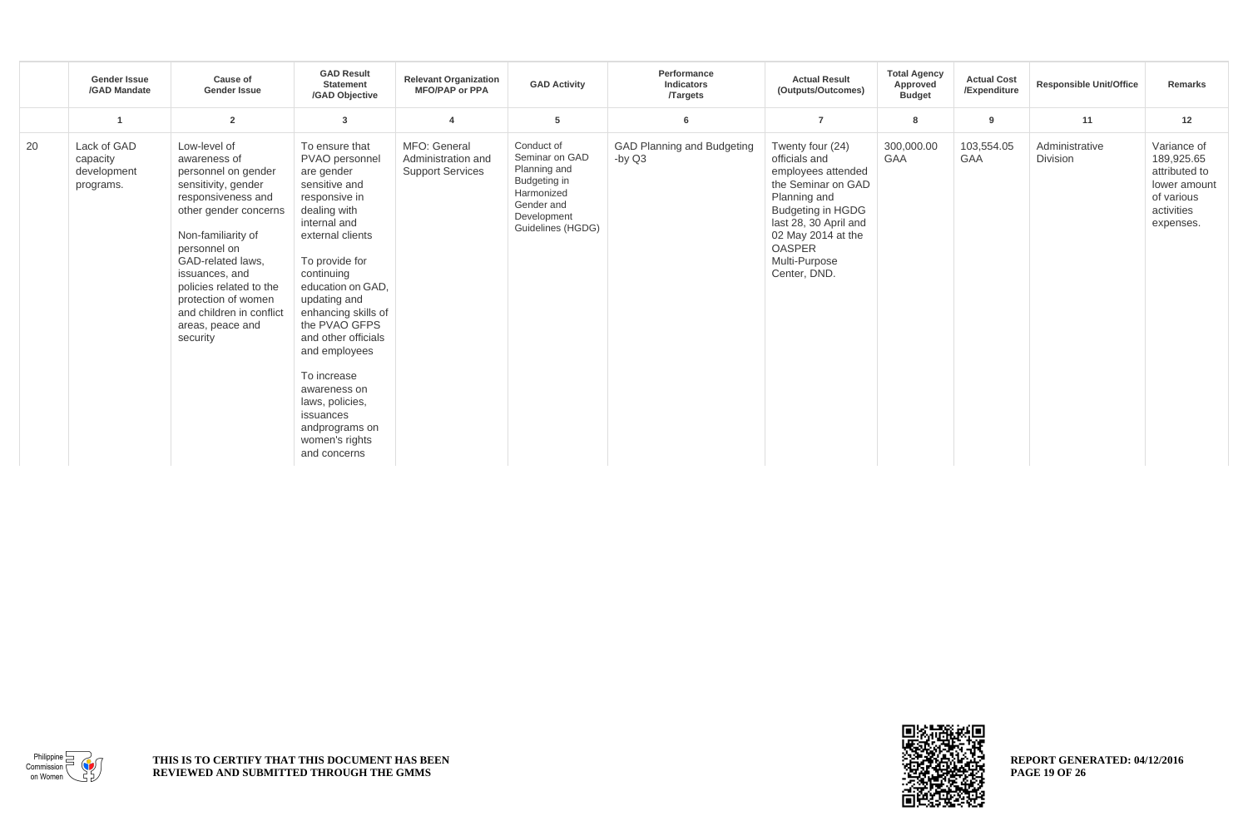|    | <b>Gender Issue</b><br>/GAD Mandate                 | Cause of<br><b>Gender Issue</b>                                                                                                                                                                                                                                                                                      | <b>GAD Result</b><br><b>Statement</b><br>/GAD Objective                                                                                                                                                                                                                                                                                                                                                      | <b>Relevant Organization</b><br><b>MFO/PAP or PPA</b>         | <b>GAD Activity</b>                                                                                                          | Performance<br><b>Indicators</b><br><b>Targets</b> | <b>Actual Result</b><br>(Outputs/Outcomes)                                                                                                                                                                                 | <b>Total Agency</b><br>Approved<br><b>Budget</b> | <b>Actual Cost</b><br>/Expenditure | <b>Responsible Unit/Office</b>    | Remarks                                                                                             |
|----|-----------------------------------------------------|----------------------------------------------------------------------------------------------------------------------------------------------------------------------------------------------------------------------------------------------------------------------------------------------------------------------|--------------------------------------------------------------------------------------------------------------------------------------------------------------------------------------------------------------------------------------------------------------------------------------------------------------------------------------------------------------------------------------------------------------|---------------------------------------------------------------|------------------------------------------------------------------------------------------------------------------------------|----------------------------------------------------|----------------------------------------------------------------------------------------------------------------------------------------------------------------------------------------------------------------------------|--------------------------------------------------|------------------------------------|-----------------------------------|-----------------------------------------------------------------------------------------------------|
|    |                                                     | $\overline{2}$                                                                                                                                                                                                                                                                                                       | 3                                                                                                                                                                                                                                                                                                                                                                                                            | $\overline{\mathbf{4}}$                                       | 5                                                                                                                            | 6                                                  | $\overline{7}$                                                                                                                                                                                                             | 8                                                | 9                                  | 11                                | 12                                                                                                  |
| 20 | Lack of GAD<br>capacity<br>development<br>programs. | Low-level of<br>awareness of<br>personnel on gender<br>sensitivity, gender<br>responsiveness and<br>other gender concerns<br>Non-familiarity of<br>personnel on<br>GAD-related laws,<br>issuances, and<br>policies related to the<br>protection of women<br>and children in conflict<br>areas, peace and<br>security | To ensure that<br>PVAO personnel<br>are gender<br>sensitive and<br>responsive in<br>dealing with<br>internal and<br>external clients<br>To provide for<br>continuing<br>education on GAD.<br>updating and<br>enhancing skills of<br>the PVAO GFPS<br>and other officials<br>and employees<br>To increase<br>awareness on<br>laws, policies,<br>issuances<br>andprograms on<br>women's rights<br>and concerns | MFO: General<br>Administration and<br><b>Support Services</b> | Conduct of<br>Seminar on GAD<br>Planning and<br>Budgeting in<br>Harmonized<br>Gender and<br>Development<br>Guidelines (HGDG) | <b>GAD Planning and Budgeting</b><br>-by Q3        | Twenty four (24)<br>officials and<br>employees attended<br>the Seminar on GAD<br>Planning and<br><b>Budgeting in HGDG</b><br>last 28, 30 April and<br>02 May 2014 at the<br><b>OASPER</b><br>Multi-Purpose<br>Center, DND. | 300,000.00<br><b>GAA</b>                         | 103,554.05<br><b>GAA</b>           | Administrative<br><b>Division</b> | Variance of<br>189,925.65<br>attributed to<br>lower amount<br>of various<br>activities<br>expenses. |



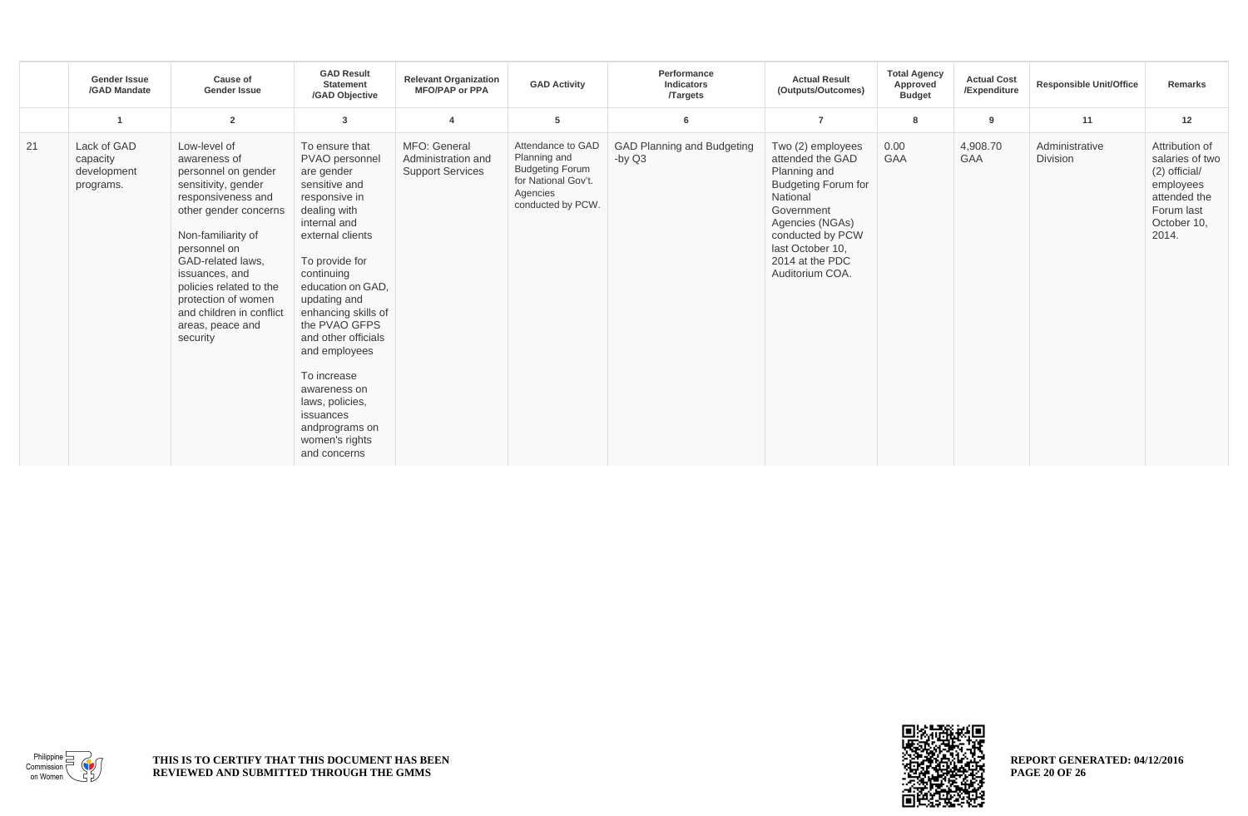|    | <b>Gender Issue</b><br>/GAD Mandate                 | <b>Cause of</b><br><b>Gender Issue</b>                                                                                                                                                                                                                                                                               | <b>GAD Result</b><br><b>Statement</b><br>/GAD Objective                                                                                                                                                                                                                                                                                                                                                      | <b>Relevant Organization</b><br><b>MFO/PAP or PPA</b>         | <b>GAD Activity</b>                                                                                                 | Performance<br>Indicators<br><b>Targets</b> | <b>Actual Result</b><br>(Outputs/Outcomes)                                                                                                                                                                     | <b>Total Agency</b><br>Approved<br><b>Budget</b> | <b>Actual Cost</b><br>/Expenditure | <b>Responsible Unit/Office</b> | <b>Remarks</b>                                                                                                        |
|----|-----------------------------------------------------|----------------------------------------------------------------------------------------------------------------------------------------------------------------------------------------------------------------------------------------------------------------------------------------------------------------------|--------------------------------------------------------------------------------------------------------------------------------------------------------------------------------------------------------------------------------------------------------------------------------------------------------------------------------------------------------------------------------------------------------------|---------------------------------------------------------------|---------------------------------------------------------------------------------------------------------------------|---------------------------------------------|----------------------------------------------------------------------------------------------------------------------------------------------------------------------------------------------------------------|--------------------------------------------------|------------------------------------|--------------------------------|-----------------------------------------------------------------------------------------------------------------------|
|    | -1                                                  | $\overline{2}$                                                                                                                                                                                                                                                                                                       | 3                                                                                                                                                                                                                                                                                                                                                                                                            | $\overline{4}$                                                | 5                                                                                                                   | 6                                           | $\overline{7}$                                                                                                                                                                                                 | 8                                                | 9                                  | 11                             | 12                                                                                                                    |
| 21 | Lack of GAD<br>capacity<br>development<br>programs. | Low-level of<br>awareness of<br>personnel on gender<br>sensitivity, gender<br>responsiveness and<br>other gender concerns<br>Non-familiarity of<br>personnel on<br>GAD-related laws,<br>issuances, and<br>policies related to the<br>protection of women<br>and children in conflict<br>areas, peace and<br>security | To ensure that<br>PVAO personnel<br>are gender<br>sensitive and<br>responsive in<br>dealing with<br>internal and<br>external clients<br>To provide for<br>continuing<br>education on GAD,<br>updating and<br>enhancing skills of<br>the PVAO GFPS<br>and other officials<br>and employees<br>To increase<br>awareness on<br>laws, policies,<br>issuances<br>andprograms on<br>women's rights<br>and concerns | MFO: General<br>Administration and<br><b>Support Services</b> | Attendance to GAD<br>Planning and<br><b>Budgeting Forum</b><br>for National Gov't.<br>Agencies<br>conducted by PCW. | GAD Planning and Budgeting<br>-by $Q3$      | Two (2) employees<br>attended the GAD<br>Planning and<br><b>Budgeting Forum for</b><br>National<br>Government<br>Agencies (NGAs)<br>conducted by PCW<br>last October 10.<br>2014 at the PDC<br>Auditorium COA. | 0.00<br><b>GAA</b>                               | 4,908.70<br><b>GAA</b>             | Administrative<br>Division     | Attribution of<br>salaries of two<br>(2) official/<br>employees<br>attended the<br>Forum last<br>October 10,<br>2014. |



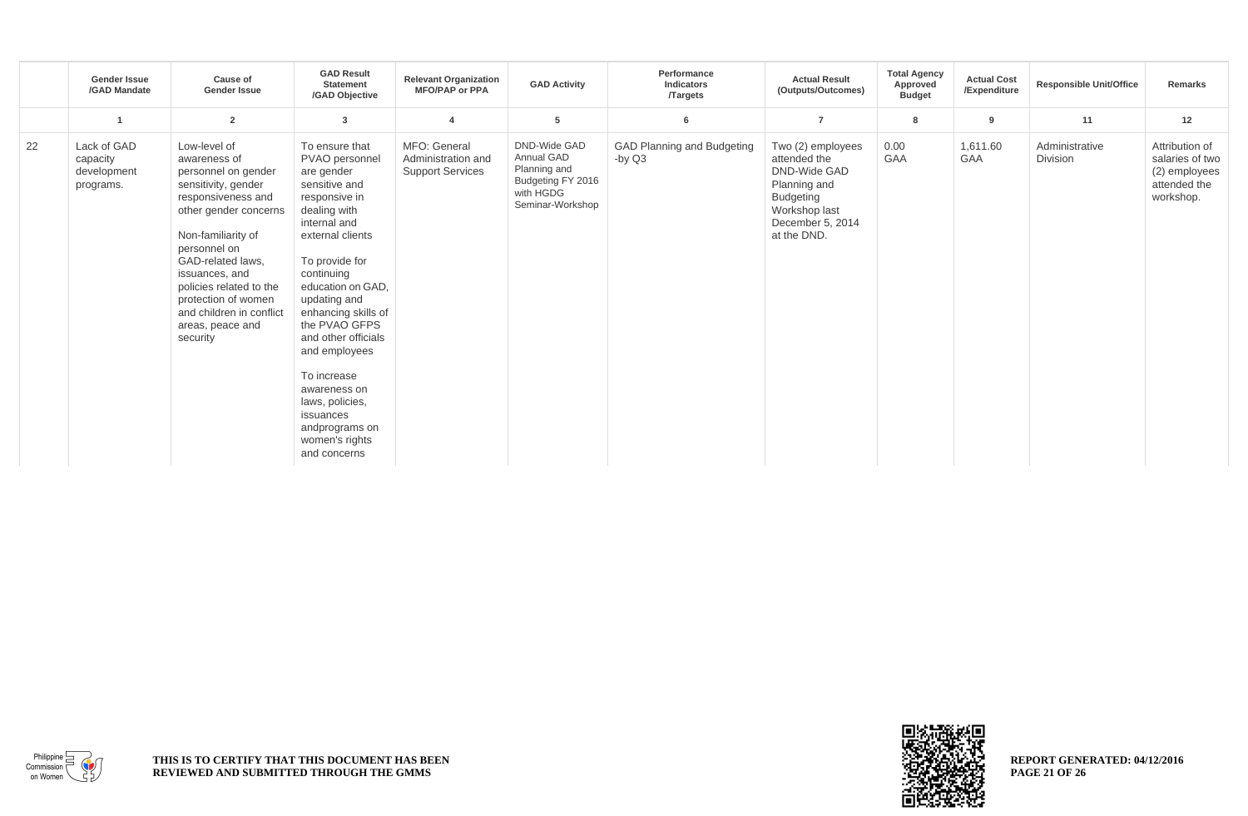|    | <b>Gender Issue</b><br>/GAD Mandate                 | <b>Cause of</b><br><b>Gender Issue</b>                                                                                                                                                                                                                                                                               | <b>GAD Result</b><br><b>Statement</b><br>/GAD Objective                                                                                                                                                                                                                                                                                                                                                      | <b>Relevant Organization</b><br><b>MFO/PAP or PPA</b>         | <b>GAD Activity</b>                                                                                     | Performance<br><b>Indicators</b><br><b>Targets</b> | <b>Actual Result</b><br>(Outputs/Outcomes)                                                                                                | <b>Total Agency</b><br>Approved<br><b>Budget</b> | <b>Actual Cost</b><br>/Expenditure | <b>Responsible Unit/Office</b> | Remarks                                                                         |
|----|-----------------------------------------------------|----------------------------------------------------------------------------------------------------------------------------------------------------------------------------------------------------------------------------------------------------------------------------------------------------------------------|--------------------------------------------------------------------------------------------------------------------------------------------------------------------------------------------------------------------------------------------------------------------------------------------------------------------------------------------------------------------------------------------------------------|---------------------------------------------------------------|---------------------------------------------------------------------------------------------------------|----------------------------------------------------|-------------------------------------------------------------------------------------------------------------------------------------------|--------------------------------------------------|------------------------------------|--------------------------------|---------------------------------------------------------------------------------|
|    |                                                     | $\overline{2}$                                                                                                                                                                                                                                                                                                       | 3                                                                                                                                                                                                                                                                                                                                                                                                            |                                                               | 5                                                                                                       | 6                                                  | $\overline{7}$                                                                                                                            | 8                                                | $\overline{9}$                     | 11                             | 12                                                                              |
| 22 | Lack of GAD<br>capacity<br>development<br>programs. | Low-level of<br>awareness of<br>personnel on gender<br>sensitivity, gender<br>responsiveness and<br>other gender concerns<br>Non-familiarity of<br>personnel on<br>GAD-related laws,<br>issuances, and<br>policies related to the<br>protection of women<br>and children in conflict<br>areas, peace and<br>security | To ensure that<br>PVAO personnel<br>are gender<br>sensitive and<br>responsive in<br>dealing with<br>internal and<br>external clients<br>To provide for<br>continuing<br>education on GAD.<br>updating and<br>enhancing skills of<br>the PVAO GFPS<br>and other officials<br>and employees<br>To increase<br>awareness on<br>laws, policies,<br>issuances<br>andprograms on<br>women's rights<br>and concerns | MFO: General<br>Administration and<br><b>Support Services</b> | <b>DND-Wide GAD</b><br>Annual GAD<br>Planning and<br>Budgeting FY 2016<br>with HGDG<br>Seminar-Workshop | <b>GAD Planning and Budgeting</b><br>-by $Q3$      | Two (2) employees<br>attended the<br>DND-Wide GAD<br>Planning and<br><b>Budgeting</b><br>Workshop last<br>December 5, 2014<br>at the DND. | 0.00<br><b>GAA</b>                               | 1,611.60<br><b>GAA</b>             | Administrative<br>Division     | Attribution of<br>salaries of two<br>(2) employees<br>attended the<br>workshop. |

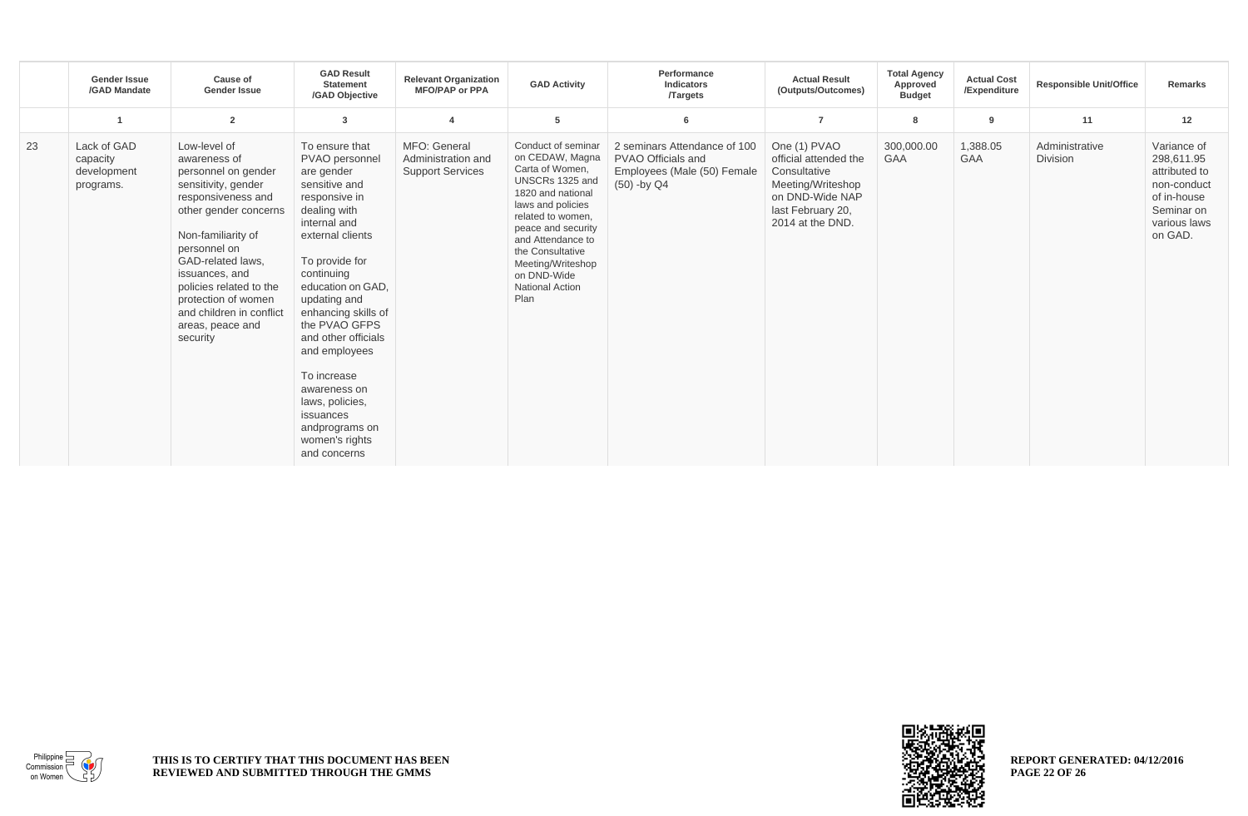|    | <b>Gender Issue</b><br>/GAD Mandate                 | Cause of<br><b>Gender Issue</b>                                                                                                                                                                                                                                                                                      | <b>GAD Result</b><br><b>Statement</b><br>/GAD Objective                                                                                                                                                                                                                                                                                                                                                      | <b>Relevant Organization</b><br><b>MFO/PAP or PPA</b>         | <b>GAD Activity</b>                                                                                                                                                                                                                                                             | Performance<br><b>Indicators</b><br><b>Targets</b>                                               | <b>Actual Result</b><br>(Outputs/Outcomes)                                                                                             | <b>Total Agency</b><br>Approved<br><b>Budget</b> | <b>Actual Cost</b><br>/Expenditure | <b>Responsible Unit/Office</b> | Remarks                                                                                                           |
|----|-----------------------------------------------------|----------------------------------------------------------------------------------------------------------------------------------------------------------------------------------------------------------------------------------------------------------------------------------------------------------------------|--------------------------------------------------------------------------------------------------------------------------------------------------------------------------------------------------------------------------------------------------------------------------------------------------------------------------------------------------------------------------------------------------------------|---------------------------------------------------------------|---------------------------------------------------------------------------------------------------------------------------------------------------------------------------------------------------------------------------------------------------------------------------------|--------------------------------------------------------------------------------------------------|----------------------------------------------------------------------------------------------------------------------------------------|--------------------------------------------------|------------------------------------|--------------------------------|-------------------------------------------------------------------------------------------------------------------|
|    |                                                     | $\overline{2}$                                                                                                                                                                                                                                                                                                       | 3                                                                                                                                                                                                                                                                                                                                                                                                            | 4                                                             | 5                                                                                                                                                                                                                                                                               | $6\phantom{1}6$                                                                                  | $\overline{7}$                                                                                                                         | 8                                                | 9                                  | 11                             | 12                                                                                                                |
| 23 | Lack of GAD<br>capacity<br>development<br>programs. | Low-level of<br>awareness of<br>personnel on gender<br>sensitivity, gender<br>responsiveness and<br>other gender concerns<br>Non-familiarity of<br>personnel on<br>GAD-related laws,<br>issuances, and<br>policies related to the<br>protection of women<br>and children in conflict<br>areas, peace and<br>security | To ensure that<br>PVAO personnel<br>are gender<br>sensitive and<br>responsive in<br>dealing with<br>internal and<br>external clients<br>To provide for<br>continuing<br>education on GAD.<br>updating and<br>enhancing skills of<br>the PVAO GFPS<br>and other officials<br>and employees<br>To increase<br>awareness on<br>laws, policies,<br>issuances<br>andprograms on<br>women's rights<br>and concerns | MFO: General<br>Administration and<br><b>Support Services</b> | Conduct of seminar<br>on CEDAW, Magna<br>Carta of Women,<br>UNSCRs 1325 and<br>1820 and national<br>laws and policies<br>related to women,<br>peace and security<br>and Attendance to<br>the Consultative<br>Meeting/Writeshop<br>on DND-Wide<br><b>National Action</b><br>Plan | 2 seminars Attendance of 100<br>PVAO Officials and<br>Employees (Male (50) Female<br>(50) -by Q4 | One (1) PVAO<br>official attended the<br>Consultative<br>Meeting/Writeshop<br>on DND-Wide NAP<br>last February 20,<br>2014 at the DND. | 300,000.00<br><b>GAA</b>                         | 1,388.05<br><b>GAA</b>             | Administrative<br>Division     | Variance of<br>298,611.95<br>attributed to<br>non-conduct<br>of in-house<br>Seminar on<br>various laws<br>on GAD. |





Philippine  $\equiv$ Commission on Women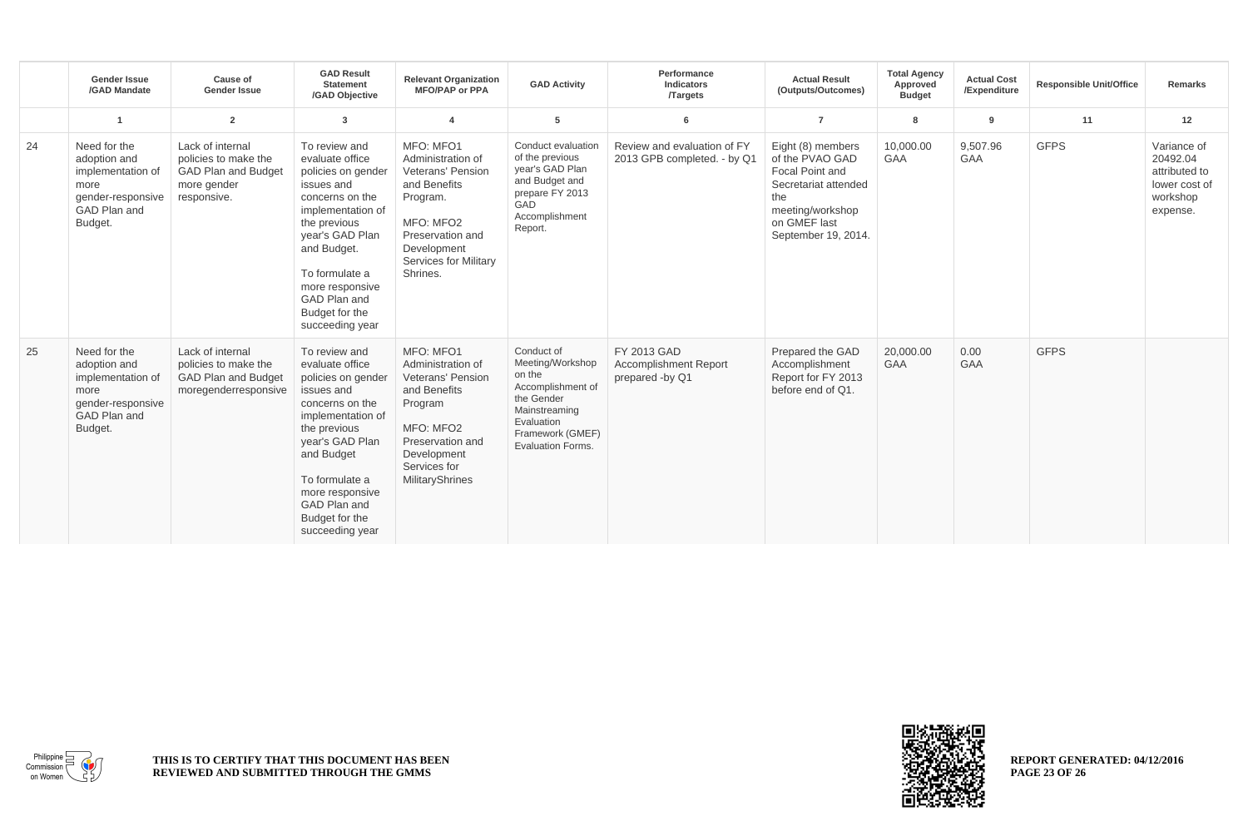|    | <b>Gender Issue</b><br>/GAD Mandate                                                                       | <b>Cause of</b><br><b>Gender Issue</b>                                                               | <b>GAD Result</b><br><b>Statement</b><br>/GAD Objective                                                                                                                                                                                                  | <b>Relevant Organization</b><br><b>MFO/PAP or PPA</b>                                                                                                                       | <b>GAD Activity</b>                                                                                                                                        | Performance<br>Indicators<br><b>Targets</b>                    | <b>Actual Result</b><br>(Outputs/Outcomes)                                                                                                        | <b>Total Agency</b><br>Approved<br><b>Budget</b> | <b>Actual Cost</b><br>/Expenditure | <b>Responsible Unit/Office</b> | <b>Remarks</b>                                                                    |
|----|-----------------------------------------------------------------------------------------------------------|------------------------------------------------------------------------------------------------------|----------------------------------------------------------------------------------------------------------------------------------------------------------------------------------------------------------------------------------------------------------|-----------------------------------------------------------------------------------------------------------------------------------------------------------------------------|------------------------------------------------------------------------------------------------------------------------------------------------------------|----------------------------------------------------------------|---------------------------------------------------------------------------------------------------------------------------------------------------|--------------------------------------------------|------------------------------------|--------------------------------|-----------------------------------------------------------------------------------|
|    |                                                                                                           | $\overline{2}$                                                                                       | 3                                                                                                                                                                                                                                                        | $\overline{\mathbf{4}}$                                                                                                                                                     | 5                                                                                                                                                          | 6                                                              | $\overline{7}$                                                                                                                                    | 8                                                | 9                                  | 11                             | 12                                                                                |
| 24 | Need for the<br>adoption and<br>implementation of<br>more<br>gender-responsive<br>GAD Plan and<br>Budget. | Lack of internal<br>policies to make the<br><b>GAD Plan and Budget</b><br>more gender<br>responsive. | To review and<br>evaluate office<br>policies on gender<br>issues and<br>concerns on the<br>implementation of<br>the previous<br>year's GAD Plan<br>and Budget.<br>To formulate a<br>more responsive<br>GAD Plan and<br>Budget for the<br>succeeding year | MFO: MFO1<br>Administration of<br>Veterans' Pension<br>and Benefits<br>Program.<br>MFO: MFO2<br>Preservation and<br>Development<br><b>Services for Military</b><br>Shrines. | Conduct evaluation<br>of the previous<br>year's GAD Plan<br>and Budget and<br>prepare FY 2013<br>GAD<br>Accomplishment<br>Report.                          | Review and evaluation of FY<br>2013 GPB completed. - by Q1     | Eight (8) members<br>of the PVAO GAD<br>Focal Point and<br>Secretariat attended<br>the<br>meeting/workshop<br>on GMEF last<br>September 19, 2014. | 10,000.00<br>GAA                                 | 9,507.96<br>GAA                    | <b>GFPS</b>                    | Variance of<br>20492.04<br>attributed to<br>lower cost of<br>workshop<br>expense. |
| 25 | Need for the<br>adoption and<br>implementation of<br>more<br>gender-responsive<br>GAD Plan and<br>Budget. | Lack of internal<br>policies to make the<br><b>GAD Plan and Budget</b><br>moregenderresponsive       | To review and<br>evaluate office<br>policies on gender<br>issues and<br>concerns on the<br>implementation of<br>the previous<br>year's GAD Plan<br>and Budget<br>To formulate a<br>more responsive<br>GAD Plan and<br>Budget for the<br>succeeding year  | MFO: MFO1<br>Administration of<br>Veterans' Pension<br>and Benefits<br>Program<br>MFO: MFO2<br>Preservation and<br>Development<br>Services for<br><b>MilitaryShrines</b>    | Conduct of<br>Meeting/Workshop<br>on the<br>Accomplishment of<br>the Gender<br>Mainstreaming<br>Evaluation<br>Framework (GMEF)<br><b>Evaluation Forms.</b> | FY 2013 GAD<br><b>Accomplishment Report</b><br>prepared -by Q1 | Prepared the GAD<br>Accomplishment<br>Report for FY 2013<br>before end of Q1.                                                                     | 20,000.00<br><b>GAA</b>                          | 0.00<br><b>GAA</b>                 | <b>GFPS</b>                    |                                                                                   |

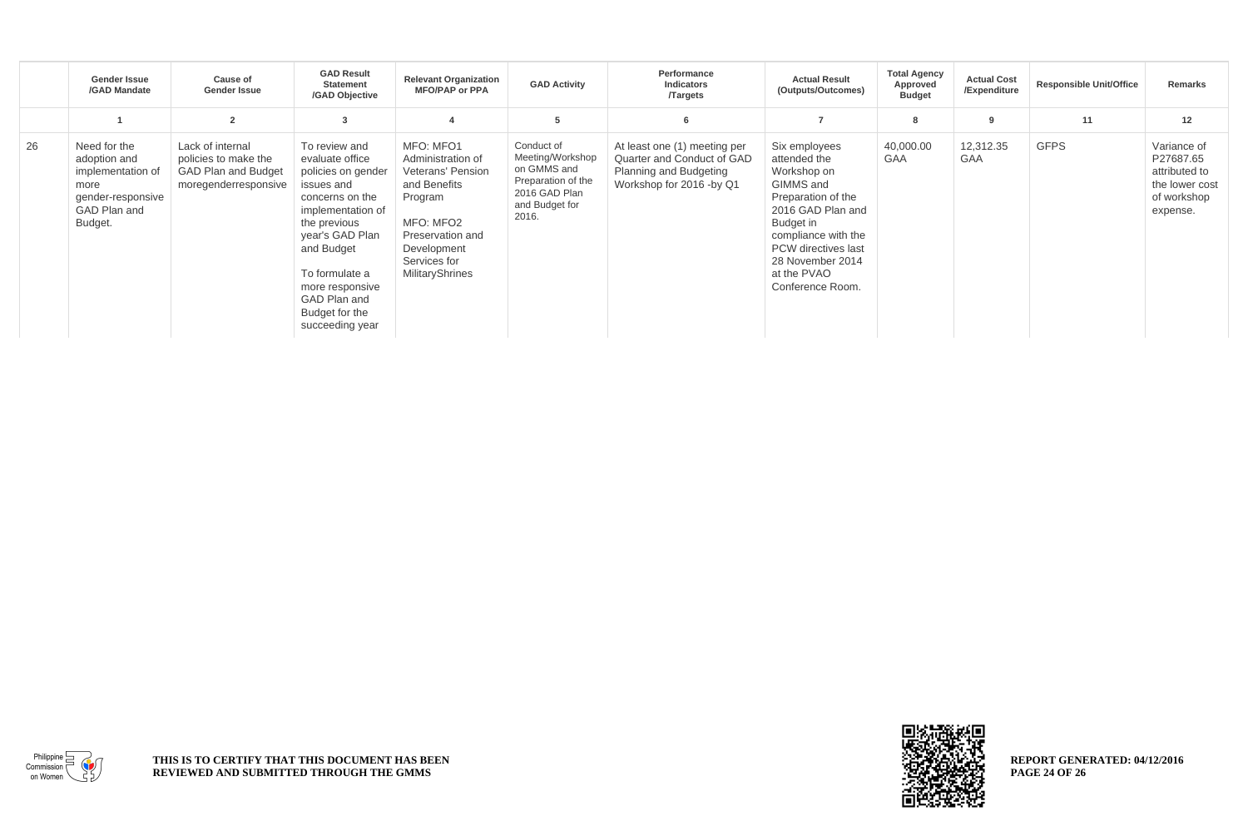|    | Gender Issue<br>/GAD Mandate                                                                              | <b>Cause of</b><br><b>Gender Issue</b>                                                         | <b>GAD Result</b><br><b>Statement</b><br>/GAD Objective                                                                                                                                                                                                 | <b>Relevant Organization</b><br><b>MFO/PAP or PPA</b>                                                                                                                    | <b>GAD Activity</b>                                                                                             | Performance<br>Indicators<br><b>Targets</b>                                                                             | <b>Actual Result</b><br>(Outputs/Outcomes)                                                                                                                                                                                    | <b>Total Agency</b><br>Approved<br><b>Budget</b> | <b>Actual Cost</b><br>/Expenditure | <b>Responsible Unit/Office</b> | Remarks                                                                                |
|----|-----------------------------------------------------------------------------------------------------------|------------------------------------------------------------------------------------------------|---------------------------------------------------------------------------------------------------------------------------------------------------------------------------------------------------------------------------------------------------------|--------------------------------------------------------------------------------------------------------------------------------------------------------------------------|-----------------------------------------------------------------------------------------------------------------|-------------------------------------------------------------------------------------------------------------------------|-------------------------------------------------------------------------------------------------------------------------------------------------------------------------------------------------------------------------------|--------------------------------------------------|------------------------------------|--------------------------------|----------------------------------------------------------------------------------------|
|    |                                                                                                           | $\overline{2}$                                                                                 | 3                                                                                                                                                                                                                                                       |                                                                                                                                                                          | 5                                                                                                               | 6                                                                                                                       | $\overline{7}$                                                                                                                                                                                                                | 8                                                | 9                                  | 11                             | 12                                                                                     |
| 26 | Need for the<br>adoption and<br>implementation of<br>more<br>gender-responsive<br>GAD Plan and<br>Budget. | Lack of internal<br>policies to make the<br><b>GAD Plan and Budget</b><br>moregenderresponsive | To review and<br>evaluate office<br>policies on gender<br>issues and<br>concerns on the<br>implementation of<br>the previous<br>year's GAD Plan<br>and Budget<br>To formulate a<br>more responsive<br>GAD Plan and<br>Budget for the<br>succeeding year | MFO: MFO1<br>Administration of<br>Veterans' Pension<br>and Benefits<br>Program<br>MFO: MFO2<br>Preservation and<br>Development<br>Services for<br><b>MilitaryShrines</b> | Conduct of<br>Meeting/Workshop<br>on GMMS and<br>Preparation of the<br>2016 GAD Plan<br>and Budget for<br>2016. | At least one (1) meeting per<br>Quarter and Conduct of GAD<br><b>Planning and Budgeting</b><br>Workshop for 2016 -by Q1 | Six employees<br>attended the<br>Workshop on<br>GIMMS and<br>Preparation of the<br>2016 GAD Plan and<br>Budget in<br>compliance with the<br><b>PCW</b> directives last<br>28 November 2014<br>at the PVAO<br>Conference Room. | 40,000.00<br><b>GAA</b>                          | 12,312.35<br><b>GAA</b>            | <b>GFPS</b>                    | Variance of<br>P27687.65<br>attributed to<br>the lower cost<br>of workshop<br>expense. |



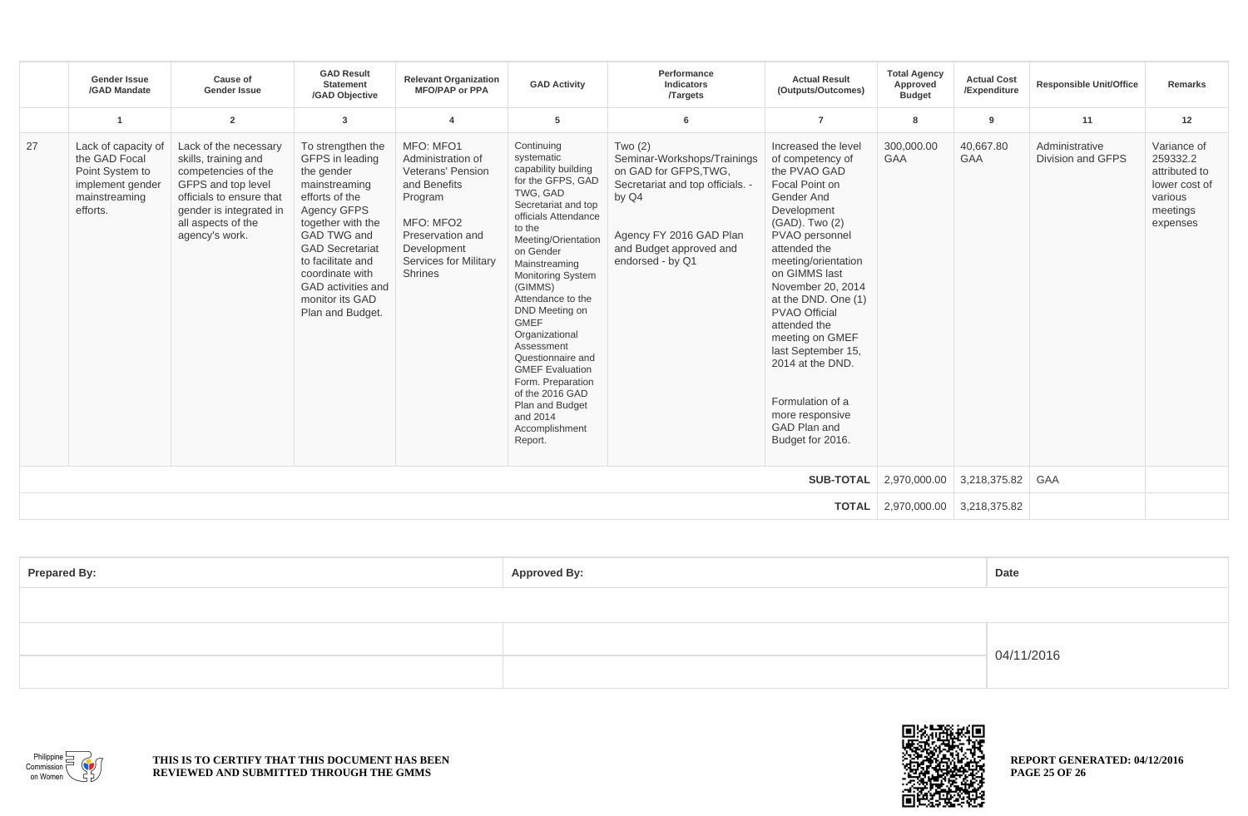|                  | <b>Gender Issue</b><br>/GAD Mandate                                                                      | Cause of<br><b>Gender Issue</b>                                                                                                                                                           | <b>GAD Result</b><br><b>Statement</b><br>/GAD Objective                                                                                                                                                                                                                 | <b>Relevant Organization</b><br><b>MFO/PAP or PPA</b>                                                                                                                     | <b>GAD Activity</b>                                                                                                                                                                                                                                                                                                                                                                                                                                                            | Performance<br>Indicators<br><b>Targets</b>                                                                                                                                             | <b>Actual Result</b><br>(Outputs/Outcomes)                                                                                                                                                                                                                                                                                                                                                                                     | <b>Total Agency</b><br>Approved<br><b>Budget</b> | <b>Actual Cost</b><br>/Expenditure | <b>Responsible Unit/Office</b>      | Remarks                                                                                      |
|------------------|----------------------------------------------------------------------------------------------------------|-------------------------------------------------------------------------------------------------------------------------------------------------------------------------------------------|-------------------------------------------------------------------------------------------------------------------------------------------------------------------------------------------------------------------------------------------------------------------------|---------------------------------------------------------------------------------------------------------------------------------------------------------------------------|--------------------------------------------------------------------------------------------------------------------------------------------------------------------------------------------------------------------------------------------------------------------------------------------------------------------------------------------------------------------------------------------------------------------------------------------------------------------------------|-----------------------------------------------------------------------------------------------------------------------------------------------------------------------------------------|--------------------------------------------------------------------------------------------------------------------------------------------------------------------------------------------------------------------------------------------------------------------------------------------------------------------------------------------------------------------------------------------------------------------------------|--------------------------------------------------|------------------------------------|-------------------------------------|----------------------------------------------------------------------------------------------|
|                  | -1                                                                                                       | $\overline{2}$                                                                                                                                                                            | 3                                                                                                                                                                                                                                                                       |                                                                                                                                                                           | 5                                                                                                                                                                                                                                                                                                                                                                                                                                                                              | 6                                                                                                                                                                                       | $\overline{7}$                                                                                                                                                                                                                                                                                                                                                                                                                 | 8                                                | 9                                  | 11                                  | 12                                                                                           |
| 27               | Lack of capacity of<br>the GAD Focal<br>Point System to<br>implement gender<br>mainstreaming<br>efforts. | Lack of the necessary<br>skills, training and<br>competencies of the<br>GFPS and top level<br>officials to ensure that<br>gender is integrated in<br>all aspects of the<br>agency's work. | To strengthen the<br>GFPS in leading<br>the gender<br>mainstreaming<br>efforts of the<br>Agency GFPS<br>together with the<br>GAD TWG and<br><b>GAD Secretariat</b><br>to facilitate and<br>coordinate with<br>GAD activities and<br>monitor its GAD<br>Plan and Budget. | MFO: MFO1<br>Administration of<br>Veterans' Pension<br>and Benefits<br>Program<br>MFO: MFO2<br>Preservation and<br>Development<br>Services for Military<br><b>Shrines</b> | Continuing<br>systematic<br>capability building<br>for the GFPS, GAD<br>TWG, GAD<br>Secretariat and top<br>officials Attendance<br>to the<br>Meeting/Orientation<br>on Gender<br>Mainstreaming<br><b>Monitoring System</b><br>(GIMMS)<br>Attendance to the<br>DND Meeting on<br><b>GMEF</b><br>Organizational<br>Assessment<br>Questionnaire and<br><b>GMEF Evaluation</b><br>Form. Preparation<br>of the 2016 GAD<br>Plan and Budget<br>and 2014<br>Accomplishment<br>Report. | Two $(2)$<br>Seminar-Workshops/Trainings<br>on GAD for GFPS.TWG.<br>Secretariat and top officials. -<br>by Q4<br>Agency FY 2016 GAD Plan<br>and Budget approved and<br>endorsed - by Q1 | Increased the level<br>of competency of<br>the PVAO GAD<br>Focal Point on<br>Gender And<br>Development<br>(GAD). Two (2)<br>PVAO personnel<br>attended the<br>meeting/orientation<br>on GIMMS last<br>November 20, 2014<br>at the DND. One (1)<br><b>PVAO Official</b><br>attended the<br>meeting on GMEF<br>last September 15,<br>2014 at the DND.<br>Formulation of a<br>more responsive<br>GAD Plan and<br>Budget for 2016. | 300,000.00<br><b>GAA</b>                         | 40,667.80<br><b>GAA</b>            | Administrative<br>Division and GFPS | Variance of<br>259332.2<br>attributed to<br>lower cost of<br>various<br>meetings<br>expenses |
| <b>SUB-TOTAL</b> |                                                                                                          |                                                                                                                                                                                           |                                                                                                                                                                                                                                                                         |                                                                                                                                                                           |                                                                                                                                                                                                                                                                                                                                                                                                                                                                                |                                                                                                                                                                                         | 2,970,000.00                                                                                                                                                                                                                                                                                                                                                                                                                   | 3,218,375.82                                     | GAA                                |                                     |                                                                                              |
| <b>TOTAL</b>     |                                                                                                          |                                                                                                                                                                                           |                                                                                                                                                                                                                                                                         |                                                                                                                                                                           |                                                                                                                                                                                                                                                                                                                                                                                                                                                                                |                                                                                                                                                                                         | 2,970,000.00                                                                                                                                                                                                                                                                                                                                                                                                                   | 3,218,375.82                                     |                                    |                                     |                                                                                              |

| <b>Prepared By:</b> | <b>Approved By:</b> | Date       |  |  |
|---------------------|---------------------|------------|--|--|
|                     |                     |            |  |  |
|                     |                     | 04/11/2016 |  |  |
|                     |                     |            |  |  |



**THIS IS TO CERTIFY THAT THIS DOCUMENT HAS BEEN REVIEWED AND SUBMITTED THROUGH THE GMMS**



**REPORT GENERATED: 04/12/2016 PAGE 25 OF 26**